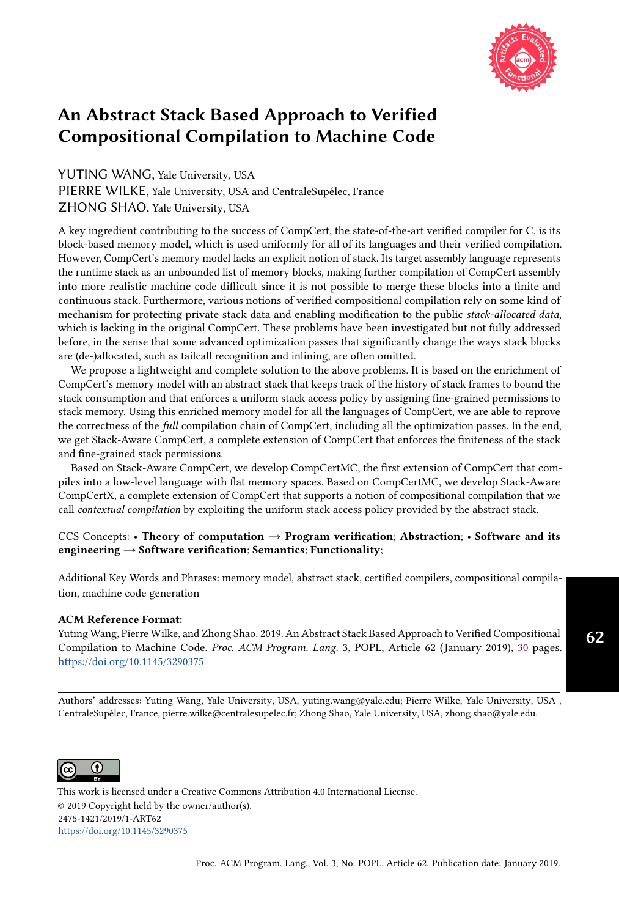

62

# An Abstract Stack Based Approach to Verified Compositional Compilation to Machine Code

YUTING WANG, Yale University, USA

PIERRE WILKE, Yale University, USA and CentraleSupélec, France ZHONG SHAO, Yale University, USA

A key ingredient contributing to the success of CompCert, the state-of-the-art verified compiler for C, is its block-based memory model, which is used uniformly for all of its languages and their verified compilation. However, CompCert's memory model lacks an explicit notion of stack. Its target assembly language represents the runtime stack as an unbounded list of memory blocks, making further compilation of CompCert assembly into more realistic machine code difficult since it is not possible to merge these blocks into a finite and continuous stack. Furthermore, various notions of verified compositional compilation rely on some kind of mechanism for protecting private stack data and enabling modification to the public stack-allocated data, which is lacking in the original CompCert. These problems have been investigated but not fully addressed before, in the sense that some advanced optimization passes that significantly change the ways stack blocks are (de-)allocated, such as tailcall recognition and inlining, are often omitted.

We propose a lightweight and complete solution to the above problems. It is based on the enrichment of CompCert's memory model with an abstract stack that keeps track of the history of stack frames to bound the stack consumption and that enforces a uniform stack access policy by assigning fine-grained permissions to stack memory. Using this enriched memory model for all the languages of CompCert, we are able to reprove the correctness of the full compilation chain of CompCert, including all the optimization passes. In the end, we get Stack-Aware CompCert, a complete extension of CompCert that enforces the finiteness of the stack and fine-grained stack permissions.

Based on Stack-Aware CompCert, we develop CompCertMC, the first extension of CompCert that compiles into a low-level language with flat memory spaces. Based on CompCertMC, we develop Stack-Aware CompCertX, a complete extension of CompCert that supports a notion of compositional compilation that we call contextual compilation by exploiting the uniform stack access policy provided by the abstract stack.

# CCS Concepts: • Theory of computation  $\rightarrow$  Program verification; Abstraction; • Software and its engineering  $\rightarrow$  Software verification; Semantics; Functionality;

Additional Key Words and Phrases: memory model, abstract stack, certified compilers, compositional compilation, machine code generation

## ACM Reference Format:

Yuting Wang, Pierre Wilke, and Zhong Shao. 2019. An Abstract Stack Based Approach to Verified Compositional Compilation to Machine Code. Proc. ACM Program. Lang. 3, POPL, Article 62 (January 2019), [30](#page-29-0) pages. <https://doi.org/10.1145/3290375>

Authors' addresses: Yuting Wang, Yale University, USA, yuting.wang@yale.edu; Pierre Wilke, Yale University, USA , CentraleSupélec, France, pierre.wilke@centralesupelec.fr; Zhong Shao, Yale University, USA, zhong.shao@yale.edu.



This work is licensed under a Creative Commons Attribution 4.0 International License. © 2019 Copyright held by the owner/author(s). 2475-1421/2019/1-ART62 <https://doi.org/10.1145/3290375>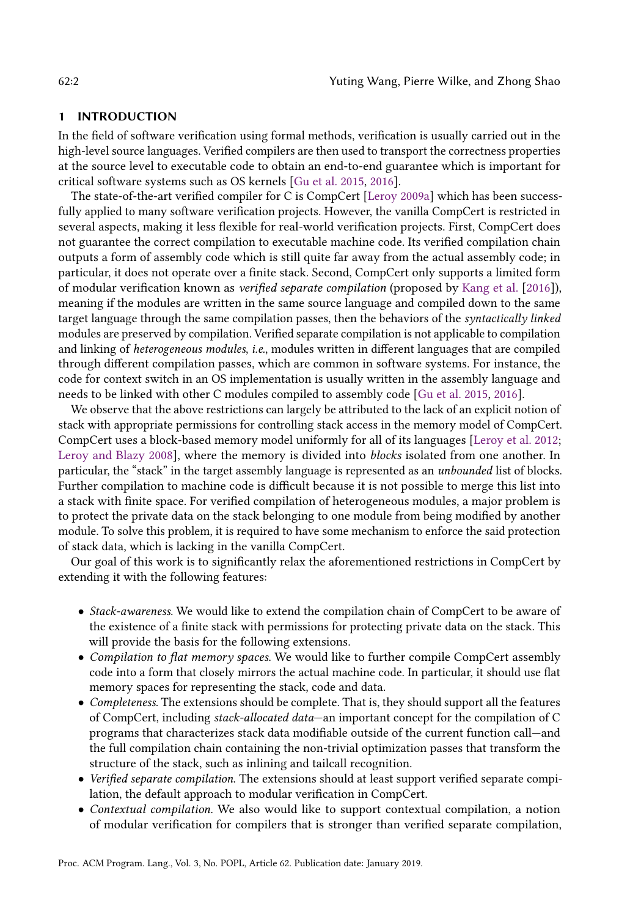## 1 INTRODUCTION

In the field of software verification using formal methods, verification is usually carried out in the high-level source languages. Verified compilers are then used to transport the correctness properties at the source level to executable code to obtain an end-to-end guarantee which is important for critical software systems such as OS kernels [\[Gu et al. 2015,](#page-28-0) [2016\]](#page-28-1).

The state-of-the-art verified compiler for C is CompCert [\[Leroy 2009a\]](#page-29-1) which has been successfully applied to many software verification projects. However, the vanilla CompCert is restricted in several aspects, making it less flexible for real-world verification projects. First, CompCert does not guarantee the correct compilation to executable machine code. Its verified compilation chain outputs a form of assembly code which is still quite far away from the actual assembly code; in particular, it does not operate over a finite stack. Second, CompCert only supports a limited form of modular verification known as verified separate compilation (proposed by [Kang et al.](#page-28-2) [\[2016\]](#page-28-2)), meaning if the modules are written in the same source language and compiled down to the same target language through the same compilation passes, then the behaviors of the syntactically linked modules are preserved by compilation. Verified separate compilation is not applicable to compilation and linking of heterogeneous modules, i.e., modules written in different languages that are compiled through different compilation passes, which are common in software systems. For instance, the code for context switch in an OS implementation is usually written in the assembly language and needs to be linked with other C modules compiled to assembly code [\[Gu et al. 2015,](#page-28-0) [2016\]](#page-28-1).

We observe that the above restrictions can largely be attributed to the lack of an explicit notion of stack with appropriate permissions for controlling stack access in the memory model of CompCert. CompCert uses a block-based memory model uniformly for all of its languages [\[Leroy et al. 2012;](#page-29-2) [Leroy and Blazy 2008\]](#page-29-3), where the memory is divided into blocks isolated from one another. In particular, the "stack" in the target assembly language is represented as an unbounded list of blocks. Further compilation to machine code is difficult because it is not possible to merge this list into a stack with finite space. For verified compilation of heterogeneous modules, a major problem is to protect the private data on the stack belonging to one module from being modified by another module. To solve this problem, it is required to have some mechanism to enforce the said protection of stack data, which is lacking in the vanilla CompCert.

Our goal of this work is to significantly relax the aforementioned restrictions in CompCert by extending it with the following features:

- Stack-awareness. We would like to extend the compilation chain of CompCert to be aware of the existence of a finite stack with permissions for protecting private data on the stack. This will provide the basis for the following extensions.
- Compilation to flat memory spaces. We would like to further compile CompCert assembly code into a form that closely mirrors the actual machine code. In particular, it should use flat memory spaces for representing the stack, code and data.
- Completeness. The extensions should be complete. That is, they should support all the features of CompCert, including stack-allocated data-an important concept for the compilation of C programs that characterizes stack data modifiable outside of the current function call—and the full compilation chain containing the non-trivial optimization passes that transform the structure of the stack, such as inlining and tailcall recognition.
- Verified separate compilation. The extensions should at least support verified separate compilation, the default approach to modular verification in CompCert.
- Contextual compilation. We also would like to support contextual compilation, a notion of modular verification for compilers that is stronger than verified separate compilation,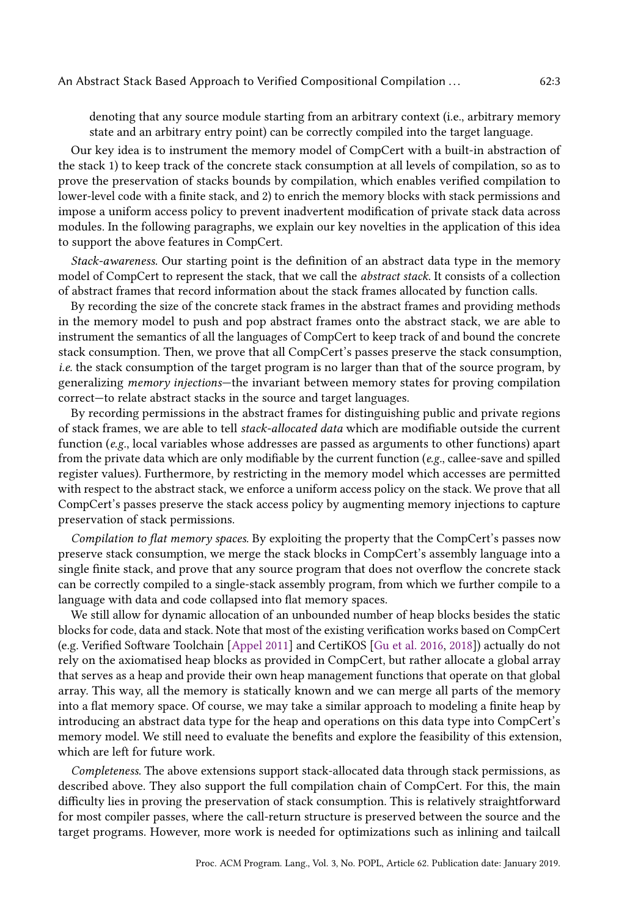denoting that any source module starting from an arbitrary context (i.e., arbitrary memory state and an arbitrary entry point) can be correctly compiled into the target language.

Our key idea is to instrument the memory model of CompCert with a built-in abstraction of the stack 1) to keep track of the concrete stack consumption at all levels of compilation, so as to prove the preservation of stacks bounds by compilation, which enables verified compilation to lower-level code with a finite stack, and 2) to enrich the memory blocks with stack permissions and impose a uniform access policy to prevent inadvertent modification of private stack data across modules. In the following paragraphs, we explain our key novelties in the application of this idea to support the above features in CompCert.

Stack-awareness. Our starting point is the definition of an abstract data type in the memory model of CompCert to represent the stack, that we call the abstract stack. It consists of a collection of abstract frames that record information about the stack frames allocated by function calls.

By recording the size of the concrete stack frames in the abstract frames and providing methods in the memory model to push and pop abstract frames onto the abstract stack, we are able to instrument the semantics of all the languages of CompCert to keep track of and bound the concrete stack consumption. Then, we prove that all CompCert's passes preserve the stack consumption, i.e. the stack consumption of the target program is no larger than that of the source program, by generalizing *memory injections*—the invariant between memory states for proving compilation correct-to relate abstract stacks in the source and target languages.

By recording permissions in the abstract frames for distinguishing public and private regions of stack frames, we are able to tell stack-allocated data which are modifiable outside the current function (e.g., local variables whose addresses are passed as arguments to other functions) apart from the private data which are only modifiable by the current function ( $e.g.,$  callee-save and spilled register values). Furthermore, by restricting in the memory model which accesses are permitted with respect to the abstract stack, we enforce a uniform access policy on the stack. We prove that all CompCert's passes preserve the stack access policy by augmenting memory injections to capture preservation of stack permissions.

Compilation to flat memory spaces. By exploiting the property that the CompCert's passes now preserve stack consumption, we merge the stack blocks in CompCert's assembly language into a single finite stack, and prove that any source program that does not overflow the concrete stack can be correctly compiled to a single-stack assembly program, from which we further compile to a language with data and code collapsed into flat memory spaces.

We still allow for dynamic allocation of an unbounded number of heap blocks besides the static blocks for code, data and stack. Note that most of the existing verification works based on CompCert (e.g. Verified Software Toolchain [\[Appel 2011\]](#page-28-3) and CertiKOS [\[Gu et al.](#page-28-1) [2016,](#page-28-1) [2018\]](#page-28-4)) actually do not rely on the axiomatised heap blocks as provided in CompCert, but rather allocate a global array that serves as a heap and provide their own heap management functions that operate on that global array. This way, all the memory is statically known and we can merge all parts of the memory into a flat memory space. Of course, we may take a similar approach to modeling a finite heap by introducing an abstract data type for the heap and operations on this data type into CompCert's memory model. We still need to evaluate the benefits and explore the feasibility of this extension, which are left for future work.

Completeness. The above extensions support stack-allocated data through stack permissions, as described above. They also support the full compilation chain of CompCert. For this, the main difficulty lies in proving the preservation of stack consumption. This is relatively straightforward for most compiler passes, where the call-return structure is preserved between the source and the target programs. However, more work is needed for optimizations such as inlining and tailcall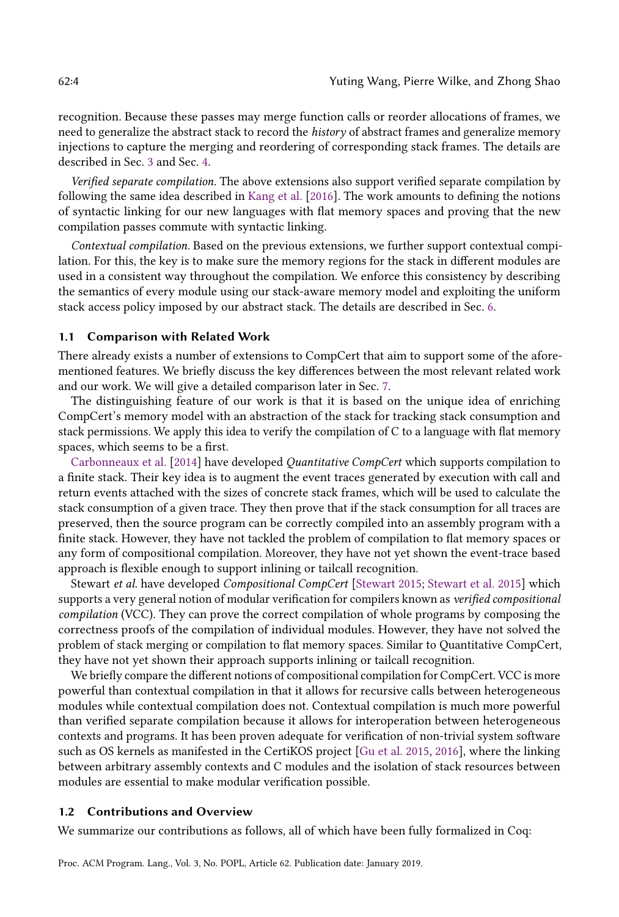recognition. Because these passes may merge function calls or reorder allocations of frames, we need to generalize the abstract stack to record the history of abstract frames and generalize memory injections to capture the merging and reordering of corresponding stack frames. The details are described in Sec. [3](#page-8-0) and Sec. [4.](#page-10-0)

Verified separate compilation. The above extensions also support verified separate compilation by following the same idea described in [Kang et al.](#page-28-2) [\[2016\]](#page-28-2). The work amounts to defining the notions of syntactic linking for our new languages with flat memory spaces and proving that the new compilation passes commute with syntactic linking.

Contextual compilation. Based on the previous extensions, we further support contextual compilation. For this, the key is to make sure the memory regions for the stack in different modules are used in a consistent way throughout the compilation. We enforce this consistency by describing the semantics of every module using our stack-aware memory model and exploiting the uniform stack access policy imposed by our abstract stack. The details are described in Sec. [6.](#page-22-0)

#### 1.1 Comparison with Related Work

There already exists a number of extensions to CompCert that aim to support some of the aforementioned features. We briefly discuss the key differences between the most relevant related work and our work. We will give a detailed comparison later in Sec. [7.](#page-25-0)

The distinguishing feature of our work is that it is based on the unique idea of enriching CompCert's memory model with an abstraction of the stack for tracking stack consumption and stack permissions. We apply this idea to verify the compilation of C to a language with flat memory spaces, which seems to be a first.

[Carbonneaux et al.](#page-28-5) [\[2014\]](#page-28-5) have developed Quantitative CompCert which supports compilation to a finite stack. Their key idea is to augment the event traces generated by execution with call and return events attached with the sizes of concrete stack frames, which will be used to calculate the stack consumption of a given trace. They then prove that if the stack consumption for all traces are preserved, then the source program can be correctly compiled into an assembly program with a finite stack. However, they have not tackled the problem of compilation to flat memory spaces or any form of compositional compilation. Moreover, they have not yet shown the event-trace based approach is flexible enough to support inlining or tailcall recognition.

Stewart et al. have developed Compositional CompCert [\[Stewart 2015;](#page-29-4) [Stewart et al.](#page-29-5) [2015\]](#page-29-5) which supports a very general notion of modular verification for compilers known as verified compositional compilation (VCC). They can prove the correct compilation of whole programs by composing the correctness proofs of the compilation of individual modules. However, they have not solved the problem of stack merging or compilation to flat memory spaces. Similar to Quantitative CompCert, they have not yet shown their approach supports inlining or tailcall recognition.

We briefly compare the different notions of compositional compilation for CompCert. VCC is more powerful than contextual compilation in that it allows for recursive calls between heterogeneous modules while contextual compilation does not. Contextual compilation is much more powerful than verified separate compilation because it allows for interoperation between heterogeneous contexts and programs. It has been proven adequate for verification of non-trivial system software such as OS kernels as manifested in the CertiKOS project [\[Gu et al.](#page-28-0) [2015,](#page-28-0) [2016\]](#page-28-1), where the linking between arbitrary assembly contexts and C modules and the isolation of stack resources between modules are essential to make modular verification possible.

#### 1.2 Contributions and Overview

We summarize our contributions as follows, all of which have been fully formalized in Coq: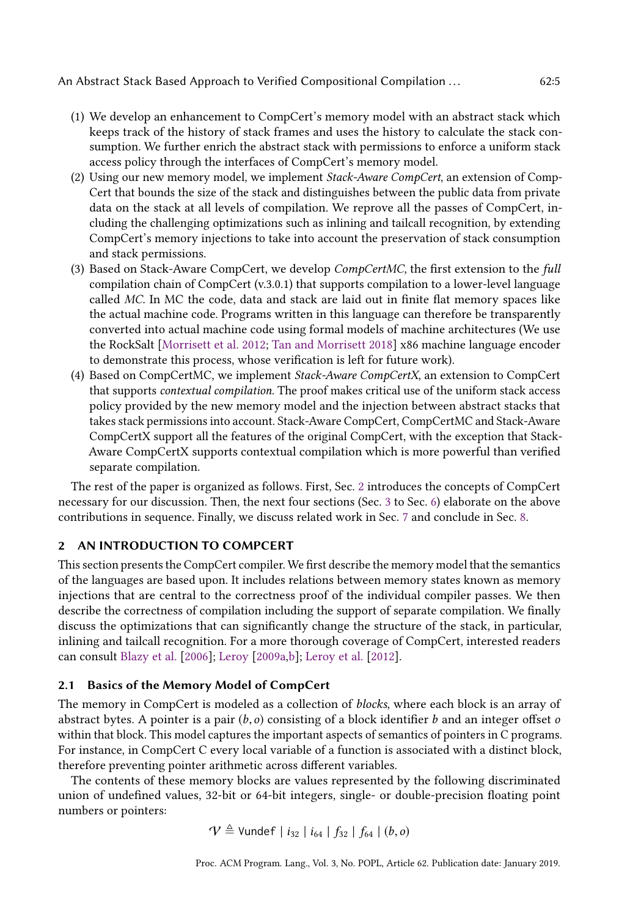An Abstract Stack Based Approach to Verified Compositional Compilation . . . . . . . . . . . . . . . 62:5

- (1) We develop an enhancement to CompCert's memory model with an abstract stack which keeps track of the history of stack frames and uses the history to calculate the stack consumption. We further enrich the abstract stack with permissions to enforce a uniform stack access policy through the interfaces of CompCert's memory model.
- (2) Using our new memory model, we implement Stack-Aware CompCert, an extension of Comp-Cert that bounds the size of the stack and distinguishes between the public data from private data on the stack at all levels of compilation. We reprove all the passes of CompCert, including the challenging optimizations such as inlining and tailcall recognition, by extending CompCert's memory injections to take into account the preservation of stack consumption and stack permissions.
- (3) Based on Stack-Aware CompCert, we develop  $CompCertMC$ , the first extension to the full compilation chain of CompCert (v.3.0.1) that supports compilation to a lower-level language called MC. In MC the code, data and stack are laid out in finite flat memory spaces like the actual machine code. Programs written in this language can therefore be transparently converted into actual machine code using formal models of machine architectures (We use the RockSalt [\[Morrisett et al.](#page-29-6) [2012;](#page-29-6) [Tan and Morrisett 2018\]](#page-29-7) x86 machine language encoder to demonstrate this process, whose verification is left for future work).
- (4) Based on CompCertMC, we implement Stack-Aware CompCertX, an extension to CompCert that supports contextual compilation. The proof makes critical use of the uniform stack access policy provided by the new memory model and the injection between abstract stacks that takes stack permissions into account. Stack-Aware CompCert, CompCertMC and Stack-Aware CompCertX support all the features of the original CompCert, with the exception that Stack-Aware CompCertX supports contextual compilation which is more powerful than verified separate compilation.

The rest of the paper is organized as follows. First, Sec. [2](#page-4-0) introduces the concepts of CompCert necessary for our discussion. Then, the next four sections (Sec. [3](#page-8-0) to Sec. [6\)](#page-22-0) elaborate on the above contributions in sequence. Finally, we discuss related work in Sec. [7](#page-25-0) and conclude in Sec. [8.](#page-28-6)

# <span id="page-4-0"></span>2 AN INTRODUCTION TO COMPCERT

This section presents the CompCert compiler. We first describe the memory model that the semantics of the languages are based upon. It includes relations between memory states known as memory injections that are central to the correctness proof of the individual compiler passes. We then describe the correctness of compilation including the support of separate compilation. We finally discuss the optimizations that can significantly change the structure of the stack, in particular, inlining and tailcall recognition. For a more thorough coverage of CompCert, interested readers can consult [Blazy et al.](#page-28-7) [\[2006\]](#page-28-7); [Leroy](#page-29-1) [\[2009a,](#page-29-1)[b\]](#page-29-8); [Leroy et al.](#page-29-2) [\[2012\]](#page-29-2).

# 2.1 Basics of the Memory Model of CompCert

The memory in CompCert is modeled as a collection of *blocks*, where each block is an array of abstract bytes. A pointer is a pair  $(b, o)$  consisting of a block identifier b and an integer offset o within that block. This model captures the important aspects of semantics of pointers in C programs. For instance, in CompCert C every local variable of a function is associated with a distinct block, therefore preventing pointer arithmetic across different variables.

The contents of these memory blocks are values represented by the following discriminated union of undefined values, 32-bit or 64-bit integers, single- or double-precision floating point numbers or pointers:

 $\mathcal{V} \triangleq$  Vundef |  $i_{32}$  |  $i_{64}$  |  $f_{32}$  |  $f_{64}$  |  $(b, o)$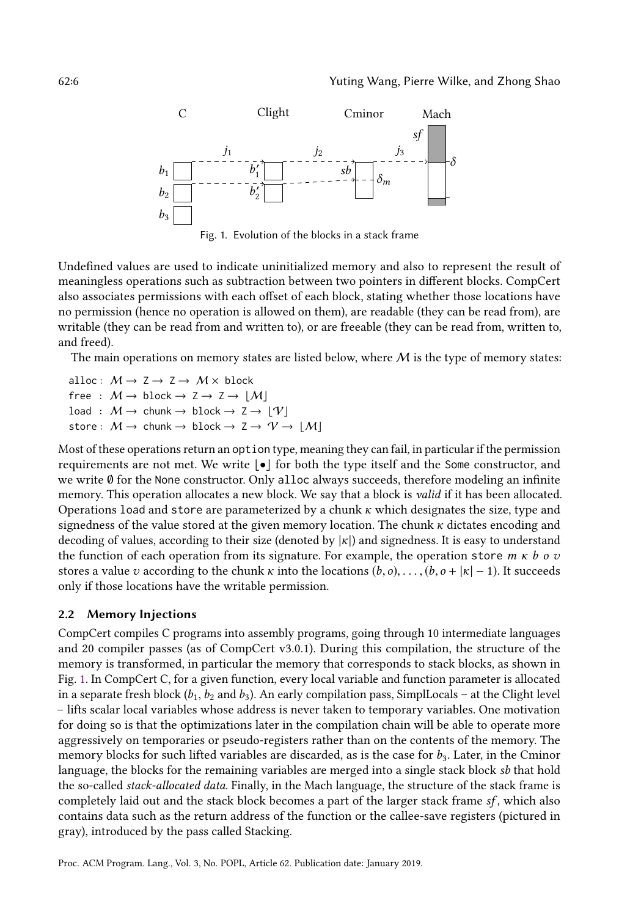<span id="page-5-0"></span>

Fig. 1. Evolution of the blocks in a stack frame

Undefined values are used to indicate uninitialized memory and also to represent the result of meaningless operations such as subtraction between two pointers in different blocks. CompCert also associates permissions with each offset of each block, stating whether those locations have no permission (hence no operation is allowed on them), are readable (they can be read from), are writable (they can be read from and written to), or are freeable (they can be read from, written to, and freed).

The main operations on memory states are listed below, where  $M$  is the type of memory states:

alloc:  $M \to Z \to Z \to M \times$  block free :  $M \to \text{block} \to Z \to Z \to [M]$ load :  $M \to$  chunk  $\to$  block  $\to$  Z  $\to$   $|\mathcal{V}|$ store:  $M \to$  chunk  $\to$  block  $\to$  Z  $\to$   $\forall$   $\to$   $|M|$ 

Most of these operations return an option type, meaning they can fail, in particular if the permission requirements are not met. We write |● | for both the type itself and the Some constructor, and we write Ø for the None constructor. Only alloc always succeeds, therefore modeling an infinite memory. This operation allocates a new block. We say that a block is valid if it has been allocated. Operations load and store are parameterized by a chunk  $\kappa$  which designates the size, type and signedness of the value stored at the given memory location. The chunk  $\kappa$  dictates encoding and decoding of values, according to their size (denoted by  $|\kappa|$ ) and signedness. It is easy to understand the function of each operation from its signature. For example, the operation store  $m \kappa b o v$ stores a value v according to the chunk  $\kappa$  into the locations  $(b, 0), \ldots, (b, 0 + |\kappa| - 1)$ . It succeeds only if those locations have the writable permission.

#### 2.2 Memory Injections

CompCert compiles C programs into assembly programs, going through 10 intermediate languages and 20 compiler passes (as of CompCert v3.0.1). During this compilation, the structure of the memory is transformed, in particular the memory that corresponds to stack blocks, as shown in Fig. [1.](#page-5-0) In CompCert C, for a given function, every local variable and function parameter is allocated in a separate fresh block  $(b_1, b_2$  and  $b_3)$ . An early compilation pass, SimplLocals – at the Clight level - lifts scalar local variables whose address is never taken to temporary variables. One motivation for doing so is that the optimizations later in the compilation chain will be able to operate more aggressively on temporaries or pseudo-registers rather than on the contents of the memory. The memory blocks for such lifted variables are discarded, as is the case for  $b_3$ . Later, in the Cminor language, the blocks for the remaining variables are merged into a single stack block sb that hold the so-called stack-allocated data. Finally, in the Mach language, the structure of the stack frame is completely laid out and the stack block becomes a part of the larger stack frame  $sf$ , which also contains data such as the return address of the function or the callee-save registers (pictured in gray), introduced by the pass called Stacking.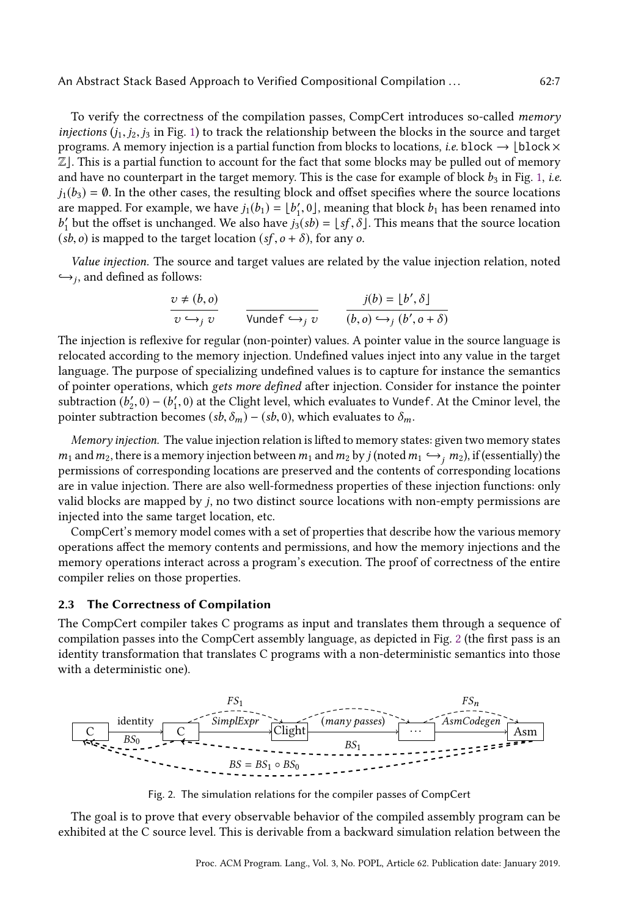#### An Abstract Stack Based Approach to Verified Compositional Compilation . . . . . . . . . . . . . . . . 62:7

To verify the correctness of the compilation passes, CompCert introduces so-called memory injections  $(j_1, j_2, j_3$  in Fig. [1\)](#page-5-0) to track the relationship between the blocks in the source and target programs. A memory injection is a partial function from blocks to locations, *i.e.* block  $\rightarrow$  |block  $\times$  $\mathbb{Z}$ . This is a partial function to account for the fact that some blocks may be pulled out of memory and have no counterpart in the target memory. This is the case for example of block  $b_3$  in Fig. [1,](#page-5-0) i.e.  $j_1(b_3) = \emptyset$ . In the other cases, the resulting block and offset specifies where the source locations are mapped. For example, we have  $j_1(b_1) = \lfloor b'_1, 0 \rfloor$ , meaning that block  $b_1$  has been renamed into  $b'_1$  but the offset is unchanged. We also have  $j_3(sb) = \lfloor sf, \delta \rfloor$ . This means that the source location  $(sb, o)$  is mapped to the target location  $(sf, o + \delta)$ , for any  $o$ .

Value injection. The source and target values are related by the value injection relation, noted  $\hookrightarrow_j$ , and defined as follows:

$$
\frac{v \neq (b, o)}{v \hookrightarrow_j v} \qquad \frac{j(b) = \lfloor b', \delta \rfloor}{\text{Vunder } \hookrightarrow_j v} \qquad \frac{j(b) = \lfloor b', \delta \rfloor}{(b, o) \hookrightarrow_j (b', o + \delta)}
$$

The injection is reflexive for regular (non-pointer) values. A pointer value in the source language is relocated according to the memory injection. Undefined values inject into any value in the target language. The purpose of specializing undefined values is to capture for instance the semantics of pointer operations, which gets more defined after injection. Consider for instance the pointer subtraction  $(b'_2, 0) - (b'_1, 0)$  at the Clight level, which evaluates to Vundef. At the Cminor level, the pointer subtraction becomes  $(sh, \delta_m) - (sb, 0)$ , which evaluates to  $\delta_m$ .

Memory injection. The value injection relation is lifted to memory states: given two memory states  $m_1$  and  $m_2$ , there is a memory injection between  $m_1$  and  $m_2$  by j (noted  $m_1 \hookrightarrow_j m_2$ ), if (essentially) the permissions of corresponding locations are preserved and the contents of corresponding locations are in value injection. There are also well-formedness properties of these injection functions: only valid blocks are mapped by  $j$ , no two distinct source locations with non-empty permissions are injected into the same target location, etc.

CompCert's memory model comes with a set of properties that describe how the various memory operations affect the memory contents and permissions, and how the memory injections and the memory operations interact across a program's execution. The proof of correctness of the entire compiler relies on those properties.

#### <span id="page-6-1"></span>2.3 The Correctness of Compilation

The CompCert compiler takes C programs as input and translates them through a sequence of compilation passes into the CompCert assembly language, as depicted in Fig. [2](#page-6-0) (the first pass is an identity transformation that translates C programs with a non-deterministic semantics into those with a deterministic one).

<span id="page-6-0"></span>

Fig. 2. The simulation relations for the compiler passes of CompCert

The goal is to prove that every observable behavior of the compiled assembly program can be exhibited at the C source level. This is derivable from a backward simulation relation between the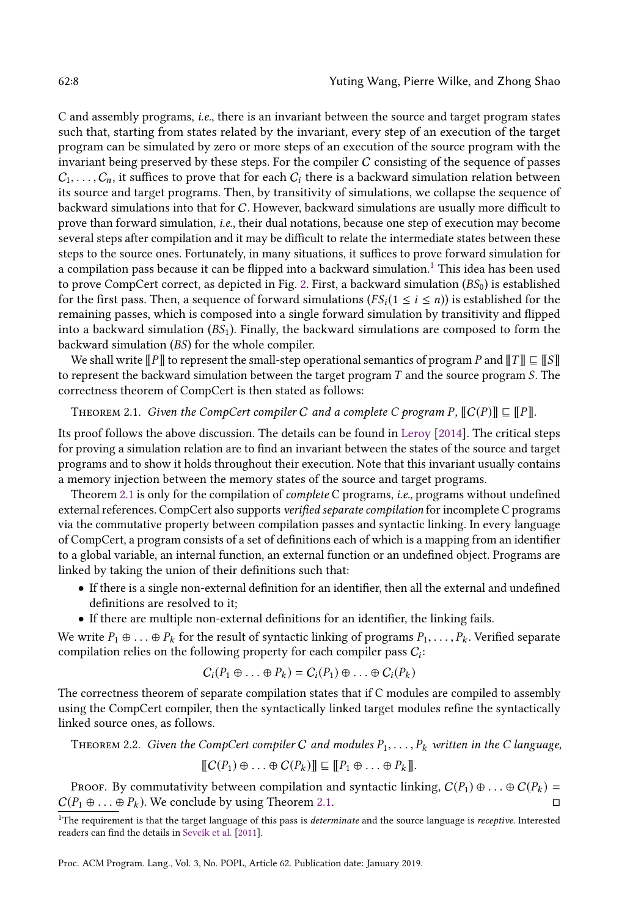C and assembly programs, i.e., there is an invariant between the source and target program states such that, starting from states related by the invariant, every step of an execution of the target program can be simulated by zero or more steps of an execution of the source program with the invariant being preserved by these steps. For the compiler  $C$  consisting of the sequence of passes  $C_1, \ldots, C_n$ , it suffices to prove that for each  $C_i$  there is a backward simulation relation between its source and target programs. Then, by transitivity of simulations, we collapse the sequence of backward simulations into that for C. However, backward simulations are usually more difficult to prove than forward simulation, i.e., their dual notations, because one step of execution may become several steps after compilation and it may be difficult to relate the intermediate states between these steps to the source ones. Fortunately, in many situations, it suffices to prove forward simulation for a compilation pass because it can be flipped into a backward simulation.[1](#page-7-0) This idea has been used to prove CompCert correct, as depicted in Fig. [2.](#page-6-0) First, a backward simulation  $(BS_0)$  is established for the first pass. Then, a sequence of forward simulations  $(FS_i(1 \le i \le n))$  is established for the remaining passes, which is composed into a single forward simulation by transitivity and flipped into a backward simulation  $(B_5)$ . Finally, the backward simulations are composed to form the backward simulation (BS) for the whole compiler.

We shall write  $[[P]]$  to represent the small-step operational semantics of program P and  $[[T]] \subseteq [[S]]$ to represent the backward simulation between the target program  $T$  and the source program  $S$ . The correctness theorem of CompCert is then stated as follows:

# <span id="page-7-1"></span>THEOREM 2.1. Given the CompCert compiler C and a complete C program P,  $[[C(P)]] \sqsubseteq [[P]].$

Its proof follows the above discussion. The details can be found in [Leroy](#page-29-9) [\[2014\]](#page-29-9). The critical steps for proving a simulation relation are to find an invariant between the states of the source and target programs and to show it holds throughout their execution. Note that this invariant usually contains a memory injection between the memory states of the source and target programs.

Theorem [2.1](#page-7-1) is only for the compilation of complete C programs, i.e., programs without undefined external references. CompCert also supports verified separate compilation for incomplete C programs via the commutative property between compilation passes and syntactic linking. In every language of CompCert, a program consists of a set of definitions each of which is a mapping from an identifier to a global variable, an internal function, an external function or an undefined object. Programs are linked by taking the union of their definitions such that:

- If there is a single non-external definition for an identifier, then all the external and undefined definitions are resolved to it;
- If there are multiple non-external definitions for an identifier, the linking fails.

We write  $P_1 \oplus \ldots \oplus P_k$  for the result of syntactic linking of programs  $P_1, \ldots, P_k$ . Verified separate compilation relies on the following property for each compiler pass  $C_i$ :

$$
C_i(P_1 \oplus \ldots \oplus P_k) = C_i(P_1) \oplus \ldots \oplus C_i(P_k)
$$

The correctness theorem of separate compilation states that if C modules are compiled to assembly using the CompCert compiler, then the syntactically linked target modules refine the syntactically linked source ones, as follows.

THEOREM 2.2. Given the CompCert compiler C and modules  $P_1, \ldots, P_k$  written in the C language,

$$
[\![C(P_1)\oplus\ldots\oplus C(P_k)]\!]\subseteq [\![P_1\oplus\ldots\oplus P_k]\!].
$$

Proof. By commutativity between compilation and syntactic linking,  $C(P_1) \oplus \ldots \oplus C(P_k) =$  $C(P_1 \oplus \ldots \oplus P_k)$ . We conclude by using Theorem [2.1.](#page-7-1)

Proc. ACM Program. Lang., Vol. 3, No. POPL, Article 62. Publication date: January 2019.

<span id="page-7-0"></span><sup>&</sup>lt;sup>1</sup>The requirement is that the target language of this pass is *determinate* and the source language is *receptive*. Interested readers can find the details in [Sevcík et al.](#page-29-10) [\[2011\]](#page-29-10).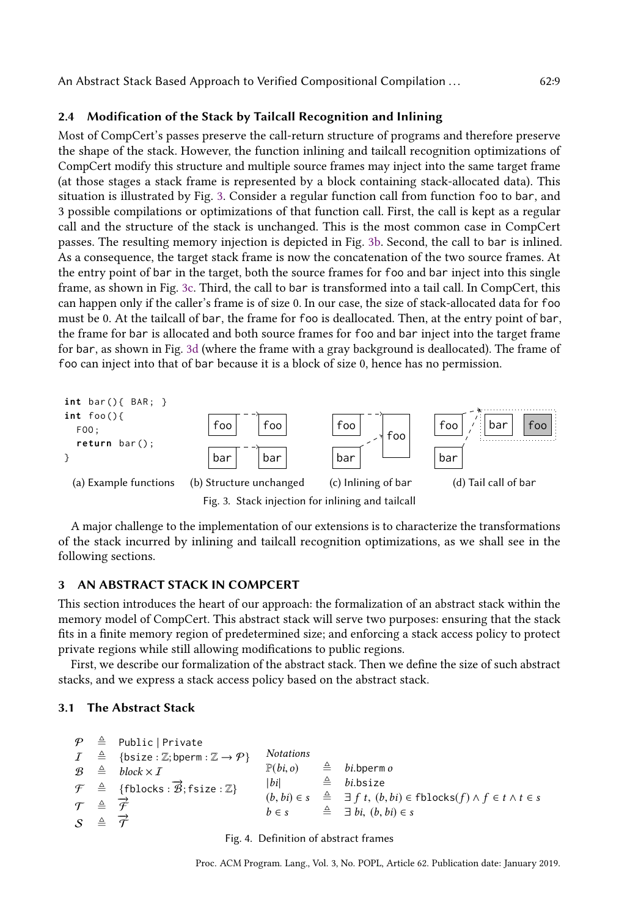An Abstract Stack Based Approach to Verified Compositional Compilation . . . . . . . . . . . . . . . . 62:9

# <span id="page-8-3"></span>2.4 Modification of the Stack by Tailcall Recognition and Inlining

Most of CompCert's passes preserve the call-return structure of programs and therefore preserve the shape of the stack. However, the function inlining and tailcall recognition optimizations of CompCert modify this structure and multiple source frames may inject into the same target frame (at those stages a stack frame is represented by a block containing stack-allocated data). This situation is illustrated by Fig. [3.](#page-8-1) Consider a regular function call from function foo to bar, and 3 possible compilations or optimizations of that function call. First, the call is kept as a regular call and the structure of the stack is unchanged. This is the most common case in CompCert passes. The resulting memory injection is depicted in Fig. [3b.](#page-8-1) Second, the call to bar is inlined. As a consequence, the target stack frame is now the concatenation of the two source frames. At the entry point of bar in the target, both the source frames for foo and bar inject into this single frame, as shown in Fig. [3c.](#page-8-1) Third, the call to bar is transformed into a tail call. In CompCert, this can happen only if the caller's frame is of size 0. In our case, the size of stack-allocated data for foo must be 0. At the tailcall of bar, the frame for foo is deallocated. Then, at the entry point of bar, the frame for bar is allocated and both source frames for foo and bar inject into the target frame for bar, as shown in Fig. [3d](#page-8-1) (where the frame with a gray background is deallocated). The frame of foo can inject into that of bar because it is a block of size 0, hence has no permission.

<span id="page-8-1"></span>

Fig. 3. Stack injection for inlining and tailcall

A major challenge to the implementation of our extensions is to characterize the transformations of the stack incurred by inlining and tailcall recognition optimizations, as we shall see in the following sections.

# <span id="page-8-0"></span>3 AN ABSTRACT STACK IN COMPCERT

This section introduces the heart of our approach: the formalization of an abstract stack within the memory model of CompCert. This abstract stack will serve two purposes: ensuring that the stack fits in a finite memory region of predetermined size; and enforcing a stack access policy to protect private regions while still allowing modifications to public regions.

First, we describe our formalization of the abstract stack. Then we define the size of such abstract stacks, and we express a stack access policy based on the abstract stack.

# 3.1 The Abstract Stack

```
\mathcal{P} \triangleq Public | Private
I \triangleq \{ \text{bsize} : \mathbb{Z}; \text{bperm} : \mathbb{Z} \rightarrow \mathcal{P} \}\mathcal{B} \triangleq \text{block} \times I\mathcal{F} \triangleq \{ \text{fblocks} : \overrightarrow{\mathcal{B}}; \text{fsize} : \mathbb{Z} \}\tau \triangleq\vec{\tau}S \triangleq\overrightarrow{\tau}Notations
                                                                               \mathbb{P}(bi, o) \triangleq bi.bperm o
                                                                               |bi| \triangleq bi.bsize
                                                                               (b, bi) \in s \stackrel{\Delta}{=} \exists f t, (b, bi) \in \text{fiblocks}(f) \land f \in t \land t \in sb \in s \triangleq \exists bi, (b, bi) \in s
```
Fig. 4. Definition of abstract frames

Proc. ACM Program. Lang., Vol. 3, No. POPL, Article 62. Publication date: January 2019.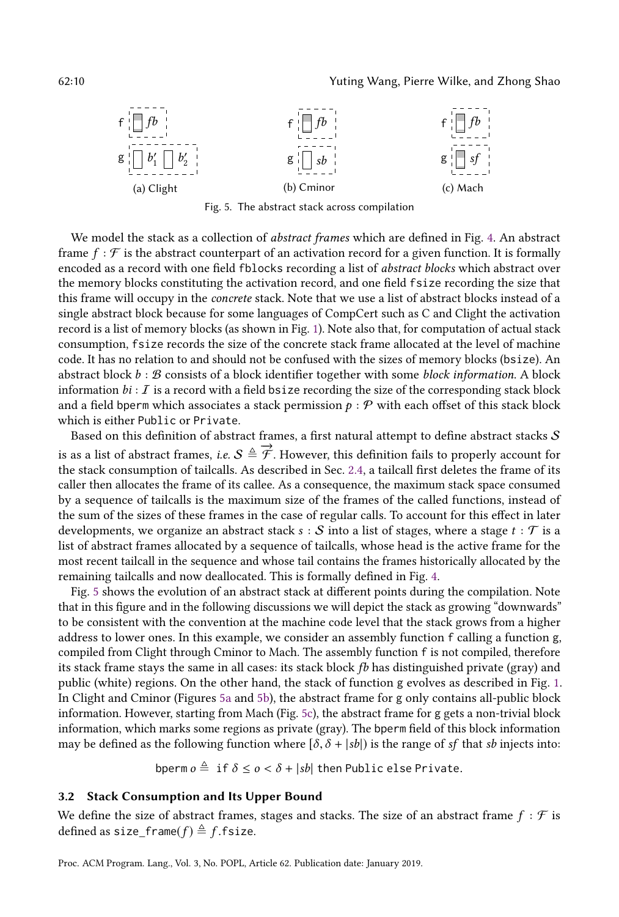<span id="page-9-0"></span>62:10 Yuting Wang, Pierre Wilke, and Zhong Shao



Fig. 5. The abstract stack across compilation

We model the stack as a collection of *abstract frames* which are defined in Fig. [4.](#page-8-2) An abstract frame  $f : \mathcal{F}$  is the abstract counterpart of an activation record for a given function. It is formally encoded as a record with one field fblocks recording a list of abstract blocks which abstract over the memory blocks constituting the activation record, and one field fsize recording the size that this frame will occupy in the concrete stack. Note that we use a list of abstract blocks instead of a single abstract block because for some languages of CompCert such as C and Clight the activation record is a list of memory blocks (as shown in Fig. [1\)](#page-5-0). Note also that, for computation of actual stack consumption, fsize records the size of the concrete stack frame allocated at the level of machine code. It has no relation to and should not be confused with the sizes of memory blocks (bsize). An abstract block  $b : B$  consists of a block identifier together with some block information. A block information  $bi : I$  is a record with a field bsize recording the size of the corresponding stack block and a field bperm which associates a stack permission  $p : \mathcal{P}$  with each offset of this stack block which is either Public or Private.

Based on this definition of abstract frames, a first natural attempt to define abstract stacks  $S$ is as a list of abstract frames, i.e.  $S \triangleq \overrightarrow{\mathcal{F}}$ . However, this definition fails to properly account for the stack consumption of tailcalls. As described in Sec. [2.4,](#page-8-3) a tailcall first deletes the frame of its caller then allocates the frame of its callee. As a consequence, the maximum stack space consumed by a sequence of tailcalls is the maximum size of the frames of the called functions, instead of the sum of the sizes of these frames in the case of regular calls. To account for this effect in later developments, we organize an abstract stack  $s : S$  into a list of stages, where a stage  $t : T$  is a list of abstract frames allocated by a sequence of tailcalls, whose head is the active frame for the most recent tailcall in the sequence and whose tail contains the frames historically allocated by the remaining tailcalls and now deallocated. This is formally defined in Fig. [4.](#page-8-2)

Fig. [5](#page-9-0) shows the evolution of an abstract stack at different points during the compilation. Note that in this figure and in the following discussions we will depict the stack as growing "downwards" to be consistent with the convention at the machine code level that the stack grows from a higher address to lower ones. In this example, we consider an assembly function f calling a function g, compiled from Clight through Cminor to Mach. The assembly function f is not compiled, therefore its stack frame stays the same in all cases: its stack block  $fb$  has distinguished private (gray) and public (white) regions. On the other hand, the stack of function g evolves as described in Fig. [1.](#page-5-0) In Clight and Cminor (Figures [5a](#page-9-0) and [5b\)](#page-9-0), the abstract frame for g only contains all-public block information. However, starting from Mach (Fig. [5c\)](#page-9-0), the abstract frame for g gets a non-trivial block information, which marks some regions as private (gray). The bperm field of this block information may be defined as the following function where  $[\delta, \delta + |sb|)$  is the range of sf that sb injects into:

bperm  $o \triangleq$  if  $\delta \leq o < \delta + |sb|$  then Public else Private.

# 3.2 Stack Consumption and Its Upper Bound

We define the size of abstract frames, stages and stacks. The size of an abstract frame  $f : \mathcal{F}$  is defined as size  $frame(f) \triangleq f$ .fsize.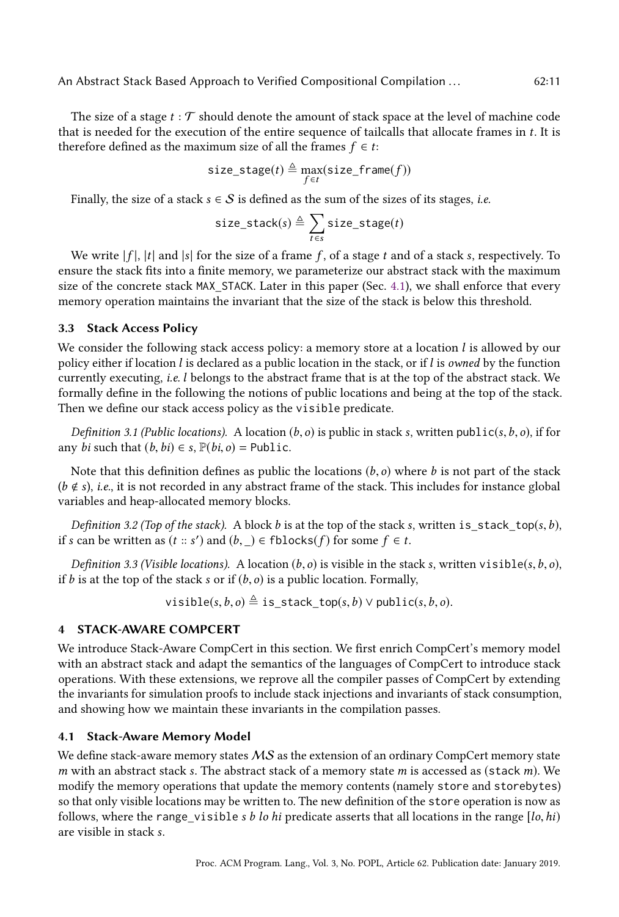An Abstract Stack Based Approach to Verified Compositional Compilation . . . . . . . . . . . . . . 62:11

The size of a stage  $t : \mathcal{T}$  should denote the amount of stack space at the level of machine code that is needed for the execution of the entire sequence of tailcalls that allocate frames in  $t$ . It is therefore defined as the maximum size of all the frames  $f \in t$ :

$$
\texttt{size\_stage}(t) \triangleq \max_{f \in t}(\texttt{size\_frame}(f))
$$

Finally, the size of a stack  $s \in S$  is defined as the sum of the sizes of its stages, *i.e.* 

$$
size\_stack(s) \triangleq \sum_{t \in s}size\_stage(t)
$$

We write  $|f|$ ,  $|t|$  and  $|s|$  for the size of a frame  $f$ , of a stage  $t$  and of a stack s, respectively. To ensure the stack fits into a finite memory, we parameterize our abstract stack with the maximum size of the concrete stack MAX\_STACK. Later in this paper (Sec. [4.1\)](#page-10-1), we shall enforce that every memory operation maintains the invariant that the size of the stack is below this threshold.

# 3.3 Stack Access Policy

We consider the following stack access policy: a memory store at a location  $l$  is allowed by our policy either if location l is declared as a public location in the stack, or if l is owned by the function currently executing, i.e. l belongs to the abstract frame that is at the top of the abstract stack. We formally define in the following the notions of public locations and being at the top of the stack. Then we define our stack access policy as the visible predicate.

*Definition 3.1 (Public locations).* A location  $(b, o)$  is public in stack s, written public(s, b, o), if for any *bi* such that  $(b, bi) \in s$ ,  $\mathbb{P}(bi, o) = \text{Public.}$ 

Note that this definition defines as public the locations  $(b, o)$  where b is not part of the stack  $(b \notin s)$ , i.e., it is not recorded in any abstract frame of the stack. This includes for instance global variables and heap-allocated memory blocks.

Definition 3.2 (Top of the stack). A block b is at the top of the stack s, written is stack top(s, b), if s can be written as  $(t:: s')$  and  $(b, ) \in \text{fblocks}(f)$  for some  $f \in t$ .

Definition 3.3 (Visible locations). A location  $(b, o)$  is visible in the stack s, written visible(s, b, o), if b is at the top of the stack s or if  $(b, o)$  is a public location. Formally,

visible(s, b, o)  $\triangleq$  is stack top(s, b)  $\vee$  public(s, b, o).

## <span id="page-10-0"></span>4 STACK-AWARE COMPCERT

We introduce Stack-Aware CompCert in this section. We first enrich CompCert's memory model with an abstract stack and adapt the semantics of the languages of CompCert to introduce stack operations. With these extensions, we reprove all the compiler passes of CompCert by extending the invariants for simulation proofs to include stack injections and invariants of stack consumption, and showing how we maintain these invariants in the compilation passes.

## <span id="page-10-1"></span>4.1 Stack-Aware Memory Model

We define stack-aware memory states  $MS$  as the extension of an ordinary CompCert memory state m with an abstract stack s. The abstract stack of a memory state m is accessed as (stack m). We modify the memory operations that update the memory contents (namely store and storebytes) so that only visible locations may be written to. The new definition of the store operation is now as follows, where the range\_visible s b lo hi predicate asserts that all locations in the range  $[*lo*,*hi*)$ are visible in stack s.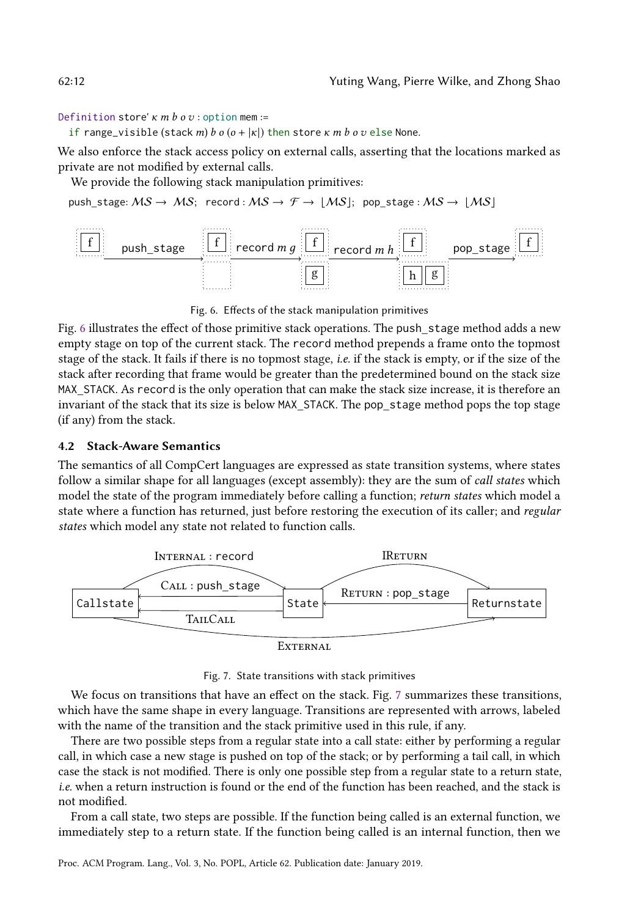#### Definition store'  $\kappa$  m  $b$  o  $v$  : option mem :=

if range\_visible (stack m) b  $o$   $(o + |k|)$  then store  $\kappa$  m b  $o$  v else None.

We also enforce the stack access policy on external calls, asserting that the locations marked as private are not modified by external calls.

We provide the following stack manipulation primitives:

push stage:  $MS \rightarrow MS$ ; record :  $MS \rightarrow \mathcal{F} \rightarrow |MS|$ ; pop\_stage :  $MS \rightarrow |MS|$ 

<span id="page-11-0"></span>

Fig. 6. Effects of the stack manipulation primitives

Fig. [6](#page-11-0) illustrates the effect of those primitive stack operations. The push\_stage method adds a new empty stage on top of the current stack. The record method prepends a frame onto the topmost stage of the stack. It fails if there is no topmost stage, i.e. if the stack is empty, or if the size of the stack after recording that frame would be greater than the predetermined bound on the stack size MAX\_STACK. As record is the only operation that can make the stack size increase, it is therefore an invariant of the stack that its size is below MAX\_STACK. The pop\_stage method pops the top stage (if any) from the stack.

## <span id="page-11-2"></span>4.2 Stack-Aware Semantics

The semantics of all CompCert languages are expressed as state transition systems, where states follow a similar shape for all languages (except assembly): they are the sum of call states which model the state of the program immediately before calling a function; return states which model a state where a function has returned, just before restoring the execution of its caller; and regular states which model any state not related to function calls.

<span id="page-11-1"></span>

```
EXTERNAL
```
Fig. 7. State transitions with stack primitives

We focus on transitions that have an effect on the stack. Fig. [7](#page-11-1) summarizes these transitions, which have the same shape in every language. Transitions are represented with arrows, labeled with the name of the transition and the stack primitive used in this rule, if any.

There are two possible steps from a regular state into a call state: either by performing a regular call, in which case a new stage is pushed on top of the stack; or by performing a tail call, in which case the stack is not modified. There is only one possible step from a regular state to a return state, i.e. when a return instruction is found or the end of the function has been reached, and the stack is not modified.

From a call state, two steps are possible. If the function being called is an external function, we immediately step to a return state. If the function being called is an internal function, then we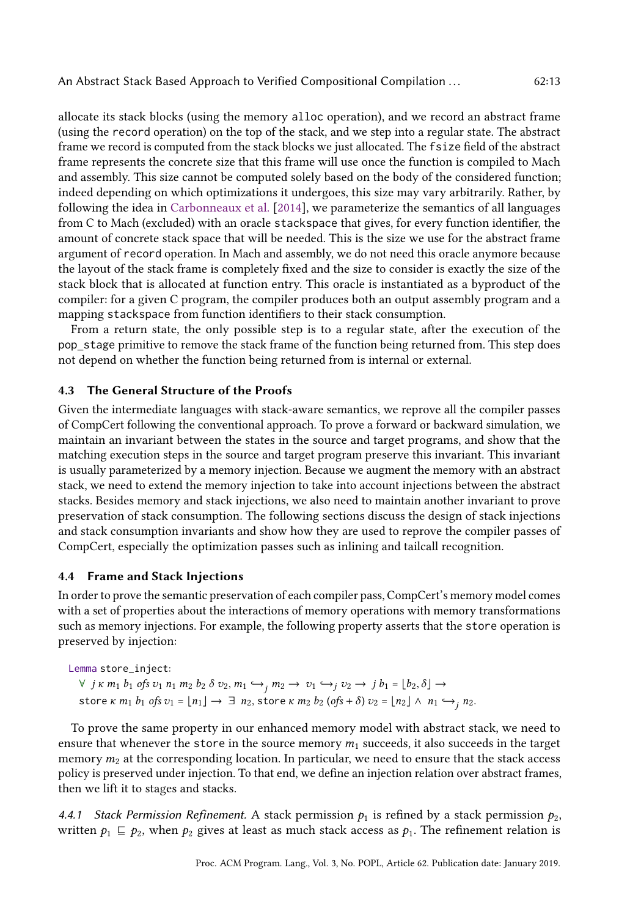An Abstract Stack Based Approach to Verified Compositional Compilation . . . . . . . . . . . . . . 62:13

allocate its stack blocks (using the memory alloc operation), and we record an abstract frame (using the record operation) on the top of the stack, and we step into a regular state. The abstract frame we record is computed from the stack blocks we just allocated. The fsize field of the abstract frame represents the concrete size that this frame will use once the function is compiled to Mach and assembly. This size cannot be computed solely based on the body of the considered function; indeed depending on which optimizations it undergoes, this size may vary arbitrarily. Rather, by following the idea in [Carbonneaux et al.](#page-28-5) [\[2014\]](#page-28-5), we parameterize the semantics of all languages from C to Mach (excluded) with an oracle stackspace that gives, for every function identifier, the amount of concrete stack space that will be needed. This is the size we use for the abstract frame argument of record operation. In Mach and assembly, we do not need this oracle anymore because the layout of the stack frame is completely fixed and the size to consider is exactly the size of the stack block that is allocated at function entry. This oracle is instantiated as a byproduct of the compiler: for a given C program, the compiler produces both an output assembly program and a mapping stackspace from function identifiers to their stack consumption.

From a return state, the only possible step is to a regular state, after the execution of the pop\_stage primitive to remove the stack frame of the function being returned from. This step does not depend on whether the function being returned from is internal or external.

## 4.3 The General Structure of the Proofs

Given the intermediate languages with stack-aware semantics, we reprove all the compiler passes of CompCert following the conventional approach. To prove a forward or backward simulation, we maintain an invariant between the states in the source and target programs, and show that the matching execution steps in the source and target program preserve this invariant. This invariant is usually parameterized by a memory injection. Because we augment the memory with an abstract stack, we need to extend the memory injection to take into account injections between the abstract stacks. Besides memory and stack injections, we also need to maintain another invariant to prove preservation of stack consumption. The following sections discuss the design of stack injections and stack consumption invariants and show how they are used to reprove the compiler passes of CompCert, especially the optimization passes such as inlining and tailcall recognition.

## 4.4 Frame and Stack Injections

In order to prove the semantic preservation of each compiler pass, CompCert's memory model comes with a set of properties about the interactions of memory operations with memory transformations such as memory injections. For example, the following property asserts that the store operation is preserved by injection:

Lemma store\_inject:  $\forall$  j  $\kappa$   $m_1$   $b_1$  ofs  $v_1$   $n_1$   $m_2$   $b_2$   $\delta$   $v_2$ ,  $m_1 \hookrightarrow_j m_2 \rightarrow v_1 \hookrightarrow_j v_2 \rightarrow j b_1 = \lfloor b_2, \delta \rfloor \rightarrow$ store  $\kappa$   $m_1$   $b_1$  ofs  $v_1 = \lfloor n_1 \rfloor \rightarrow \exists n_2$ , store  $\kappa$   $m_2$   $b_2$  (ofs +  $\delta$ )  $v_2 = \lfloor n_2 \rfloor \wedge n_1 \hookrightarrow_j n_2$ .

To prove the same property in our enhanced memory model with abstract stack, we need to ensure that whenever the store in the source memory  $m_1$  succeeds, it also succeeds in the target memory  $m_2$  at the corresponding location. In particular, we need to ensure that the stack access policy is preserved under injection. To that end, we define an injection relation over abstract frames, then we lift it to stages and stacks.

4.4.1 Stack Permission Refinement. A stack permission  $p_1$  is refined by a stack permission  $p_2$ , written  $p_1 \subseteq p_2$ , when  $p_2$  gives at least as much stack access as  $p_1$ . The refinement relation is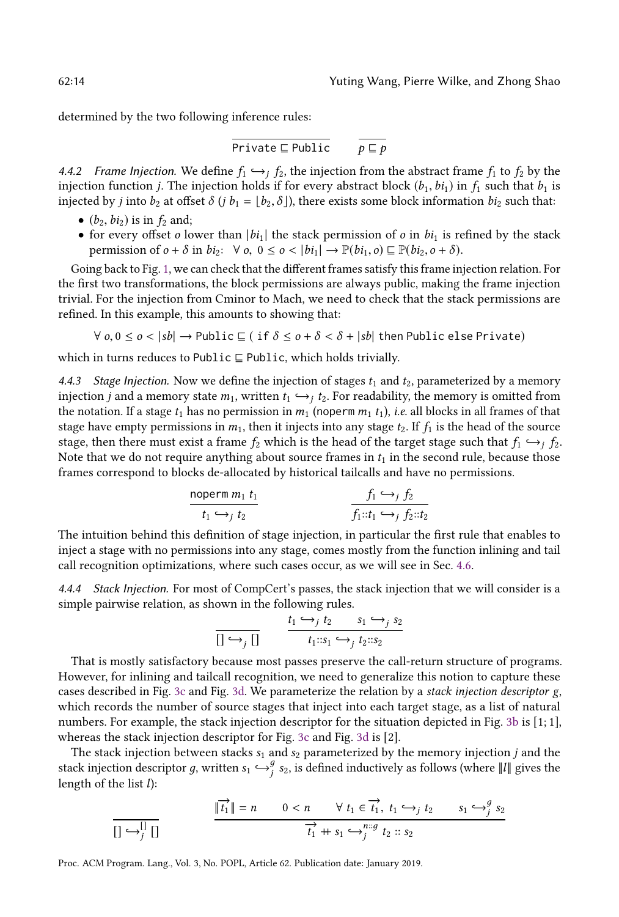determined by the two following inference rules:

$$
Private \sqsubseteq Public \qquad p \sqsubseteq p
$$

4.4.2 Frame Injection. We define  $f_1 \hookrightarrow_i f_2$ , the injection from the abstract frame  $f_1$  to  $f_2$  by the injection function j. The injection holds if for every abstract block  $(b_1, bi_1)$  in  $f_1$  such that  $b_1$  is injected by j into  $b_2$  at offset  $\delta$  (j  $b_1 = \lfloor b_2, \delta \rfloor$ ), there exists some block information  $bi_2$  such that:

- $(b_2, bi_2)$  is in  $f_2$  and;
- for every offset *o* lower than  $|bi_1|$  the stack permission of *o* in  $bi_1$  is refined by the stack permission of  $o + \delta$  in  $bi_2$ :  $\forall o, 0 \le o < |bi_1| \rightarrow \mathbb{P}(bi_1, o) \sqsubseteq \mathbb{P}(bi_2, o + \delta)$ .

Going back to Fig. [1,](#page-5-0) we can check that the different frames satisfy this frame injection relation. For the first two transformations, the block permissions are always public, making the frame injection trivial. For the injection from Cminor to Mach, we need to check that the stack permissions are refined. In this example, this amounts to showing that:

 $\forall o, 0 \leq o < |sb| \rightarrow \text{Public} \sqsubseteq ( \text{ if } \delta \leq o + \delta < \delta + |sb| \text{ then Public else Private} )$ 

which in turns reduces to Public ⊑ Public, which holds trivially.

4.4.3 Stage Injection. Now we define the injection of stages  $t_1$  and  $t_2$ , parameterized by a memory injection *j* and a memory state  $m_1$ , written  $t_1 \leftrightarrow_j t_2$ . For readability, the memory is omitted from the notation. If a stage  $t_1$  has no permission in  $m_1$  (noperm  $m_1$ , *t*, *t*, *all* blocks in all frames of that stage have empty permissions in  $m_1$ , then it injects into any stage  $t_2$ . If  $f_1$  is the head of the source stage, then there must exist a frame  $f_2$  which is the head of the target stage such that  $f_1 \hookrightarrow_i f_2$ . Note that we do not require anything about source frames in  $t_1$  in the second rule, because those frames correspond to blocks de-allocated by historical tailcalls and have no permissions.

$$
\frac{\text{noperm } m_1 t_1}{t_1 \hookrightarrow_j t_2} \qquad \qquad \frac{f_1 \hookrightarrow_j f_2}{f_1 :: t_1 \hookrightarrow_j f_2 :: t_2}
$$

The intuition behind this definition of stage injection, in particular the first rule that enables to inject a stage with no permissions into any stage, comes mostly from the function inlining and tail call recognition optimizations, where such cases occur, as we will see in Sec. [4.6.](#page-14-0)

4.4.4 Stack Injection. For most of CompCert's passes, the stack injection that we will consider is a simple pairwise relation, as shown in the following rules.

$$
\frac{t_1 \leftrightarrow_j t_2 \qquad s_1 \leftrightarrow_j s_2}{t_1 \cdots s_1 \leftrightarrow_j t_2 \cdots s_2}
$$

That is mostly satisfactory because most passes preserve the call-return structure of programs. However, for inlining and tailcall recognition, we need to generalize this notion to capture these cases described in Fig. [3c](#page-8-1) and Fig. [3d.](#page-8-1) We parameterize the relation by a stack injection descriptor g, which records the number of source stages that inject into each target stage, as a list of natural numbers. For example, the stack injection descriptor for the situation depicted in Fig. [3b](#page-8-1) is [1; 1], whereas the stack injection descriptor for Fig. [3c](#page-8-1) and Fig. [3d](#page-8-1) is [2].

The stack injection between stacks  $s_1$  and  $s_2$  parameterized by the memory injection j and the stack injection descriptor g, written  $s_1 \hookrightarrow_j^g$  $_j^g$   $s_2$ , is defined inductively as follows (where  $\|l\|$  gives the length of the list l):

$$
\frac{\|\vec{t}_1\| = n \qquad 0 < n \qquad \forall \ t_1 \in \vec{t}_1, \ t_1 \hookrightarrow_j t_2 \qquad s_1 \hookrightarrow_j^g s_2}{\vec{t}_1 + s_1 \hookrightarrow_j^{n:g} t_2 :: s_2}
$$

Proc. ACM Program. Lang., Vol. 3, No. POPL, Article 62. Publication date: January 2019.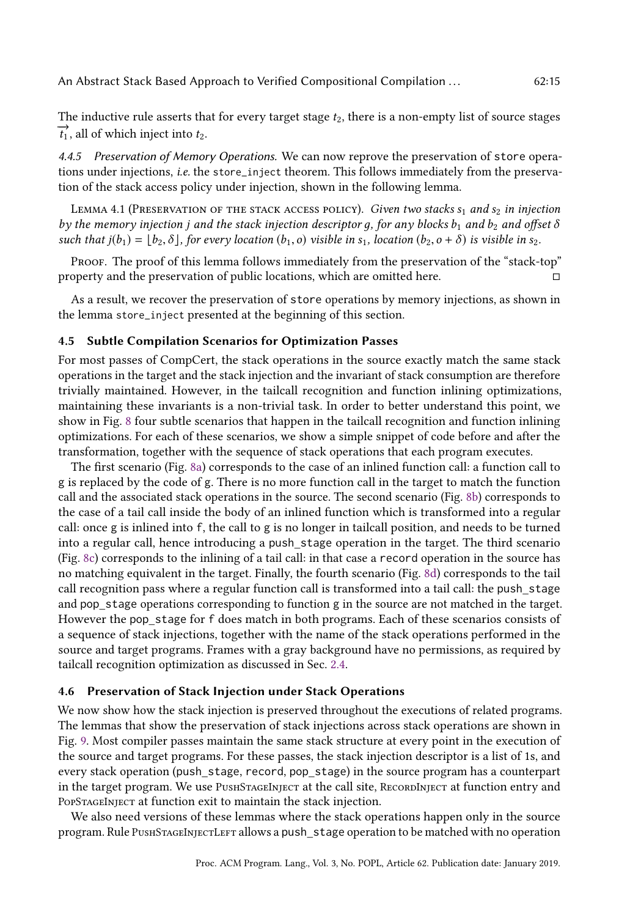An Abstract Stack Based Approach to Verified Compositional Compilation . . . . . . . . . . . . . . 62:15

The inductive rule asserts that for every target stage  $t_2$ , there is a non-empty list of source stages  $\overrightarrow{t_1}$ , all of which inject into  $t_2$ .

4.4.5 Preservation of Memory Operations. We can now reprove the preservation of store operations under injections, *i.e.* the store\_inject theorem. This follows immediately from the preservation of the stack access policy under injection, shown in the following lemma.

LEMMA 4.1 (PRESERVATION OF THE STACK ACCESS POLICY). Given two stacks  $s_1$  and  $s_2$  in injection by the memory injection j and the stack injection descriptor q, for any blocks  $b_1$  and  $b_2$  and offset  $\delta$ such that  $j(b_1) = |b_2, \delta|$ , for every location  $(b_1, o)$  visible in  $s_1$ , location  $(b_2, o + \delta)$  is visible in  $s_2$ .

Proof. The proof of this lemma follows immediately from the preservation of the "stack-top" property and the preservation of public locations, which are omitted here. □

As a result, we recover the preservation of store operations by memory injections, as shown in the lemma store\_inject presented at the beginning of this section.

#### 4.5 Subtle Compilation Scenarios for Optimization Passes

For most passes of CompCert, the stack operations in the source exactly match the same stack operations in the target and the stack injection and the invariant of stack consumption are therefore trivially maintained. However, in the tailcall recognition and function inlining optimizations, maintaining these invariants is a non-trivial task. In order to better understand this point, we show in Fig. [8](#page-15-0) four subtle scenarios that happen in the tailcall recognition and function inlining optimizations. For each of these scenarios, we show a simple snippet of code before and after the transformation, together with the sequence of stack operations that each program executes.

The first scenario (Fig. [8a\)](#page-15-0) corresponds to the case of an inlined function call: a function call to g is replaced by the code of g. There is no more function call in the target to match the function call and the associated stack operations in the source. The second scenario (Fig. [8b\)](#page-15-0) corresponds to the case of a tail call inside the body of an inlined function which is transformed into a regular call: once g is inlined into f, the call to g is no longer in tailcall position, and needs to be turned into a regular call, hence introducing a push\_stage operation in the target. The third scenario (Fig. [8c\)](#page-15-0) corresponds to the inlining of a tail call: in that case a record operation in the source has no matching equivalent in the target. Finally, the fourth scenario (Fig. [8d\)](#page-15-0) corresponds to the tail call recognition pass where a regular function call is transformed into a tail call: the push\_stage and pop\_stage operations corresponding to function g in the source are not matched in the target. However the pop\_stage for f does match in both programs. Each of these scenarios consists of a sequence of stack injections, together with the name of the stack operations performed in the source and target programs. Frames with a gray background have no permissions, as required by tailcall recognition optimization as discussed in Sec. [2.4.](#page-8-3)

# <span id="page-14-0"></span>4.6 Preservation of Stack Injection under Stack Operations

We now show how the stack injection is preserved throughout the executions of related programs. The lemmas that show the preservation of stack injections across stack operations are shown in Fig. [9.](#page-16-0) Most compiler passes maintain the same stack structure at every point in the execution of the source and target programs. For these passes, the stack injection descriptor is a list of 1s, and every stack operation (push\_stage, record, pop\_stage) in the source program has a counterpart in the target program. We use PUSHSTAGEINJECT at the call site, RECORDINJECT at function entry and POPSTAGEINJECT at function exit to maintain the stack injection.

We also need versions of these lemmas where the stack operations happen only in the source program. Rule PushStageInjectLeft allows a push stage operation to be matched with no operation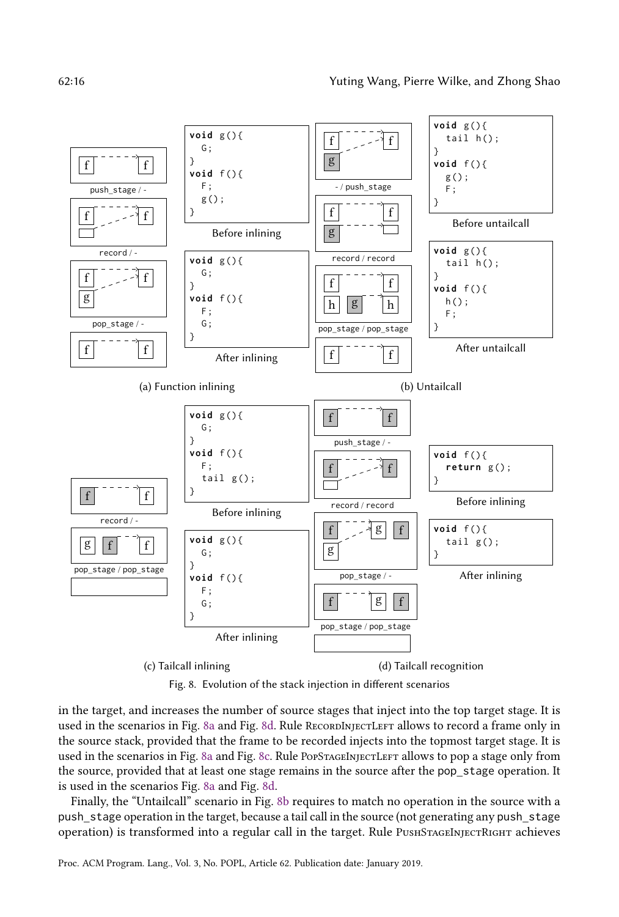<span id="page-15-0"></span>

Fig. 8. Evolution of the stack injection in different scenarios

in the target, and increases the number of source stages that inject into the top target stage. It is used in the scenarios in Fig. [8a](#page-15-0) and Fig. [8d.](#page-15-0) Rule RECORDINJECTLEFT allows to record a frame only in the source stack, provided that the frame to be recorded injects into the topmost target stage. It is used in the scenarios in Fig. [8a](#page-15-0) and Fig. [8c.](#page-15-0) Rule PopStageInjectLeft allows to pop a stage only from the source, provided that at least one stage remains in the source after the pop\_stage operation. It is used in the scenarios Fig. [8a](#page-15-0) and Fig. [8d.](#page-15-0)

Finally, the "Untailcall" scenario in Fig. [8b](#page-15-0) requires to match no operation in the source with a push stage operation in the target, because a tail call in the source (not generating any push stage operation) is transformed into a regular call in the target. Rule PUSHSTAGEINJECTRIGHT achieves

Proc. ACM Program. Lang., Vol. 3, No. POPL, Article 62. Publication date: January 2019.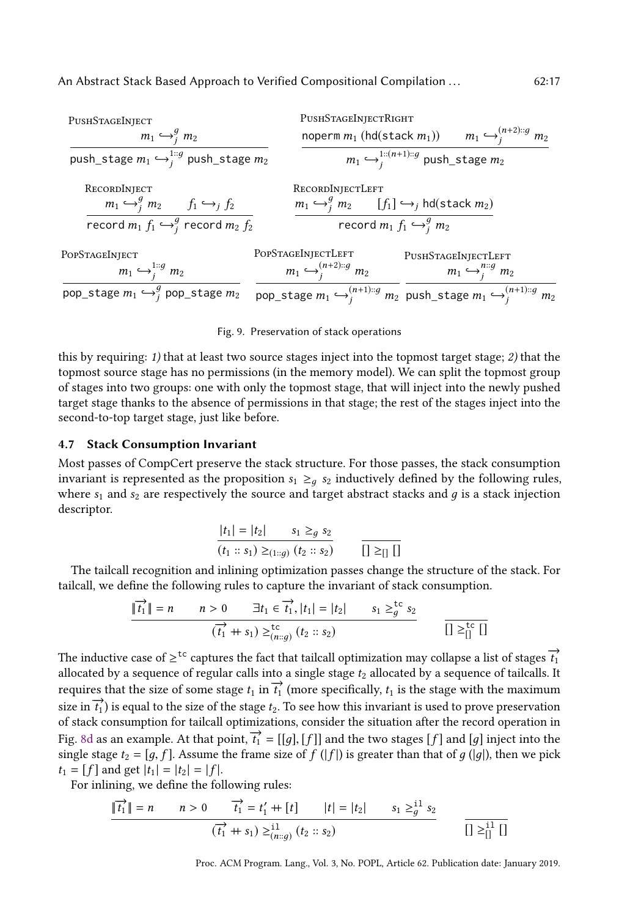<span id="page-16-0"></span>

#### Fig. 9. Preservation of stack operations

this by requiring: 1) that at least two source stages inject into the topmost target stage; 2) that the topmost source stage has no permissions (in the memory model). We can split the topmost group of stages into two groups: one with only the topmost stage, that will inject into the newly pushed target stage thanks to the absence of permissions in that stage; the rest of the stages inject into the second-to-top target stage, just like before.

### 4.7 Stack Consumption Invariant

Most passes of CompCert preserve the stack structure. For those passes, the stack consumption invariant is represented as the proposition  $s_1 \geq_q s_2$  inductively defined by the following rules, where  $s_1$  and  $s_2$  are respectively the source and target abstract stacks and  $g$  is a stack injection descriptor.

$$
|t_1| = |t_2| \t s_1 \ge_g s_2
$$
  
(t<sub>1</sub> :: s<sub>1</sub>)  $\ge_{(1::g)}$  (t<sub>2</sub> :: s<sub>2</sub>)  $\qquad \qquad \boxed{]} \geq \boxed{}$ 

The tailcall recognition and inlining optimization passes change the structure of the stack. For tailcall, we define the following rules to capture the invariant of stack consumption.

$$
\frac{\|\vec{t}_1\| = n \qquad n > 0 \qquad \exists t_1 \in \vec{t}_1, |t_1| = |t_2| \qquad s_1 \geq_g^{\text{tc}} s_2}{(\vec{t}_1 + s_1) \geq_{(n:g)}^{\text{tc}} (t_2 :: s_2)} \qquad \frac{\sum_{j=1}^{j} s_j}{\prod_{j=1}^{j} \sum_{j=1}^{j} (t_j - t_j)} \qquad \frac{\sum_{j=1}^{j} s_j}{\prod_{j=1}^{j} \sum_{j=1}^{j} (t_j - t_j)} \qquad \frac{\sum_{j=1}^{j} s_j}{\prod_{j=1}^{j} \sum_{j=1}^{j} (t_j - t_j)} \qquad \frac{\sum_{j=1}^{j} s_j}{\prod_{j=1}^{j} \sum_{j=1}^{j} (t_j - t_j)} \qquad \frac{\sum_{j=1}^{j} s_j}{\prod_{j=1}^{j} \sum_{j=1}^{j} (t_j - t_j)} \qquad \frac{\sum_{j=1}^{j} s_j}{\prod_{j=1}^{j} \sum_{j=1}^{j} (t_j - t_j)} \qquad \frac{\sum_{j=1}^{j} s_j}{\prod_{j=1}^{j} \sum_{j=1}^{j} (t_j - t_j)} \qquad \frac{\sum_{j=1}^{j} s_j}{\prod_{j=1}^{j} \sum_{j=1}^{j} (t_j - t_j)} \qquad \frac{\sum_{j=1}^{j} s_j}{\prod_{j=1}^{j} \sum_{j=1}^{j} (t_j - t_j)} \qquad \frac{\sum_{j=1}^{j} s_j}{\prod_{j=1}^{j} \sum_{j=1}^{j} (t_j - t_j)} \qquad \frac{\sum_{j=1}^{j} s_j}{\prod_{j=1}^{j} \sum_{j=1}^{j} (t_j - t_j)} \qquad \frac{\sum_{j=1}^{j} s_j}{\prod_{j=1}^{j} \sum_{j=1}^{j} (t_j - t_j)} \qquad \frac{\sum_{j=1}^{j} s_j}{\prod_{j=1}^{j} \sum_{j=1}^{j} (t_j - t_j)} \qquad \frac{\sum_{j=1}^{j} s_j}{\prod_{j=1}^{j} \sum_{j=1}^{j} (t_j - t_j)} \qquad \frac{\sum_{j=1}^{j} s_j}{\prod_{j=1}^{
$$

The inductive case of  $\geq^{\text{tc}}$  captures the fact that tailcall optimization may collapse a list of stages  $\overrightarrow{t_1}$ allocated by a sequence of regular calls into a single stage  $t_2$  allocated by a sequence of tailcalls. It requires that the size of some stage  $t_1$  in  $\overrightarrow{t_1}$  (more specifically,  $t_1$  is the stage with the maximum size in  $\overrightarrow{t_1}$ ) is equal to the size of the stage  $t_2$ . To see how this invariant is used to prove preservation of stack consumption for tailcall optimizations, consider the situation after the record operation in Fig. [8d](#page-15-0) as an example. At that point,  $\overrightarrow{t_1} = [[g], [f]]$  and the two stages  $[f]$  and  $[g]$  inject into the single stage  $t_2 = [g, f]$ . Assume the frame size of  $f(|f|)$  is greater than that of  $g(|g|)$ , then we pick  $t_1 = [f]$  and get  $|t_1| = |t_2| = |f|$ .

For inlining, we define the following rules:

$$
\frac{\|\overrightarrow{t_1}\| = n \qquad n > 0 \qquad \overrightarrow{t_1} = t_1' + [t] \qquad |t| = |t_2| \qquad s_1 \geq \frac{11}{g} s_2}{(\overrightarrow{t_1} + s_1) \geq \frac{11}{(n:g)} (t_2 :: s_2)} \qquad \frac{\geq \frac{11}{g} \cdot 0}{\prod_{i=1}^{n} \prod_{j=1}^{n}}
$$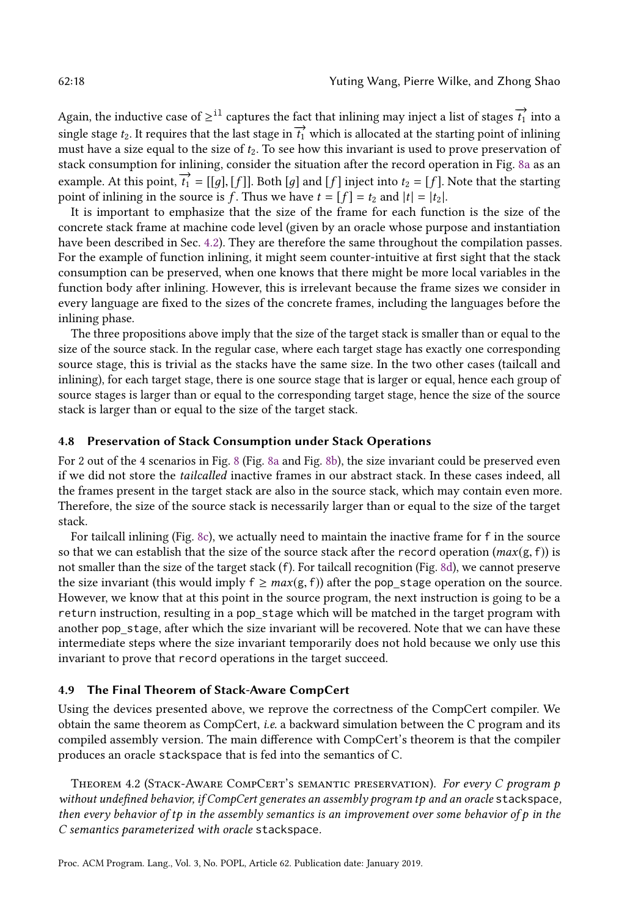Again, the inductive case of  $\geq^{11}$  captures the fact that inlining may inject a list of stages  $\overrightarrow{t_1}$  into a single stage  $t_2$ . It requires that the last stage in  $\overrightarrow{t_1}$  which is allocated at the starting point of inlining must have a size equal to the size of  $t_2$ . To see how this invariant is used to prove preservation of stack consumption for inlining, consider the situation after the record operation in Fig. [8a](#page-15-0) as an example. At this point,  $\overrightarrow{t_1} = [[q], [f]]$ . Both [g] and [f] inject into  $t_2 = [f]$ . Note that the starting point of inlining in the source is f. Thus we have  $t = [f] = t_2$  and  $|t| = |t_2|$ .

It is important to emphasize that the size of the frame for each function is the size of the concrete stack frame at machine code level (given by an oracle whose purpose and instantiation have been described in Sec. [4.2\)](#page-11-2). They are therefore the same throughout the compilation passes. For the example of function inlining, it might seem counter-intuitive at first sight that the stack consumption can be preserved, when one knows that there might be more local variables in the function body after inlining. However, this is irrelevant because the frame sizes we consider in every language are fixed to the sizes of the concrete frames, including the languages before the inlining phase.

The three propositions above imply that the size of the target stack is smaller than or equal to the size of the source stack. In the regular case, where each target stage has exactly one corresponding source stage, this is trivial as the stacks have the same size. In the two other cases (tailcall and inlining), for each target stage, there is one source stage that is larger or equal, hence each group of source stages is larger than or equal to the corresponding target stage, hence the size of the source stack is larger than or equal to the size of the target stack.

# 4.8 Preservation of Stack Consumption under Stack Operations

For 2 out of the 4 scenarios in Fig. [8](#page-15-0) (Fig. [8a](#page-15-0) and Fig. [8b\)](#page-15-0), the size invariant could be preserved even if we did not store the tailcalled inactive frames in our abstract stack. In these cases indeed, all the frames present in the target stack are also in the source stack, which may contain even more. Therefore, the size of the source stack is necessarily larger than or equal to the size of the target stack.

For tailcall inlining (Fig. [8c\)](#page-15-0), we actually need to maintain the inactive frame for f in the source so that we can establish that the size of the source stack after the record operation  $(max(g, f))$  is not smaller than the size of the target stack (f). For tailcall recognition (Fig. [8d\)](#page-15-0), we cannot preserve the size invariant (this would imply  $f \geq max(g, f)$ ) after the pop\_stage operation on the source. However, we know that at this point in the source program, the next instruction is going to be a return instruction, resulting in a pop\_stage which will be matched in the target program with another pop\_stage, after which the size invariant will be recovered. Note that we can have these intermediate steps where the size invariant temporarily does not hold because we only use this invariant to prove that record operations in the target succeed.

## 4.9 The Final Theorem of Stack-Aware CompCert

Using the devices presented above, we reprove the correctness of the CompCert compiler. We obtain the same theorem as CompCert, i.e. a backward simulation between the C program and its compiled assembly version. The main difference with CompCert's theorem is that the compiler produces an oracle stackspace that is fed into the semantics of C.

THEOREM 4.2 (STACK-AWARE COMPCERT'S SEMANTIC PRESERVATION). For every C program p without undefined behavior, if CompCert generates an assembly program tp and an oracle stackspace, then every behavior of tp in the assembly semantics is an improvement over some behavior of p in the C semantics parameterized with oracle stackspace.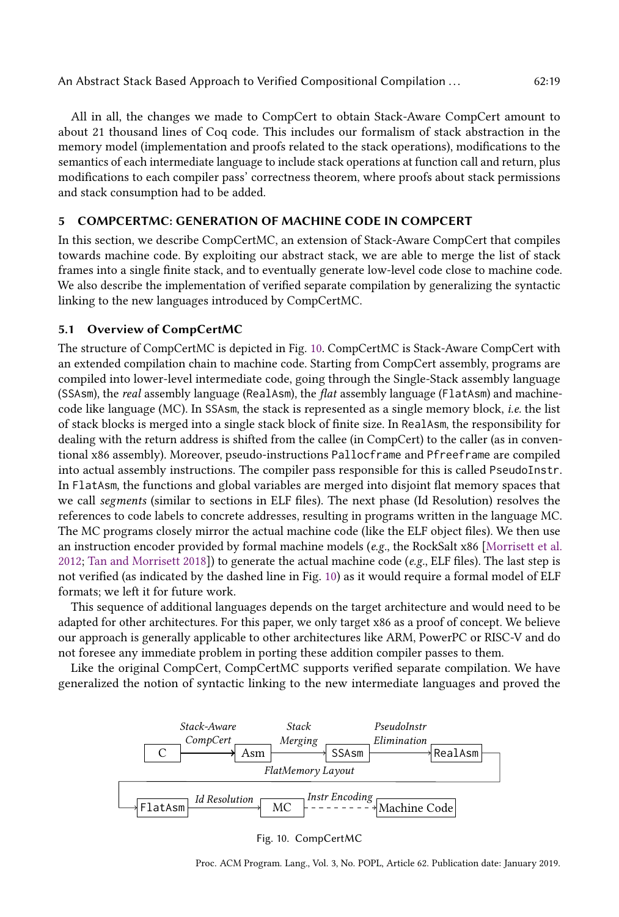An Abstract Stack Based Approach to Verified Compositional Compilation ... 62:19

All in all, the changes we made to CompCert to obtain Stack-Aware CompCert amount to about 21 thousand lines of Coq code. This includes our formalism of stack abstraction in the memory model (implementation and proofs related to the stack operations), modifications to the semantics of each intermediate language to include stack operations at function call and return, plus modifications to each compiler pass' correctness theorem, where proofs about stack permissions and stack consumption had to be added.

# 5 COMPCERTMC: GENERATION OF MACHINE CODE IN COMPCERT

In this section, we describe CompCertMC, an extension of Stack-Aware CompCert that compiles towards machine code. By exploiting our abstract stack, we are able to merge the list of stack frames into a single finite stack, and to eventually generate low-level code close to machine code. We also describe the implementation of verified separate compilation by generalizing the syntactic linking to the new languages introduced by CompCertMC.

# 5.1 Overview of CompCertMC

The structure of CompCertMC is depicted in Fig. [10.](#page-18-0) CompCertMC is Stack-Aware CompCert with an extended compilation chain to machine code. Starting from CompCert assembly, programs are compiled into lower-level intermediate code, going through the Single-Stack assembly language (SSAsm), the *real* assembly language (RealAsm), the *flat* assembly language (FlatAsm) and machinecode like language (MC). In SSAsm, the stack is represented as a single memory block, i.e. the list of stack blocks is merged into a single stack block of finite size. In RealAsm, the responsibility for dealing with the return address is shifted from the callee (in CompCert) to the caller (as in conventional x86 assembly). Moreover, pseudo-instructions Pallocframe and Pfreeframe are compiled into actual assembly instructions. The compiler pass responsible for this is called PseudoInstr. In FlatAsm, the functions and global variables are merged into disjoint flat memory spaces that we call segments (similar to sections in ELF files). The next phase (Id Resolution) resolves the references to code labels to concrete addresses, resulting in programs written in the language MC. The MC programs closely mirror the actual machine code (like the ELF object files). We then use an instruction encoder provided by formal machine models (e.g., the RockSalt x86 [\[Morrisett et al.](#page-29-6) [2012;](#page-29-6) [Tan and Morrisett 2018\]](#page-29-7)) to generate the actual machine code (e.g., ELF files). The last step is not verified (as indicated by the dashed line in Fig. [10\)](#page-18-0) as it would require a formal model of ELF formats; we left it for future work.

This sequence of additional languages depends on the target architecture and would need to be adapted for other architectures. For this paper, we only target x86 as a proof of concept. We believe our approach is generally applicable to other architectures like ARM, PowerPC or RISC-V and do not foresee any immediate problem in porting these addition compiler passes to them.

<span id="page-18-0"></span>Like the original CompCert, CompCertMC supports verified separate compilation. We have generalized the notion of syntactic linking to the new intermediate languages and proved the



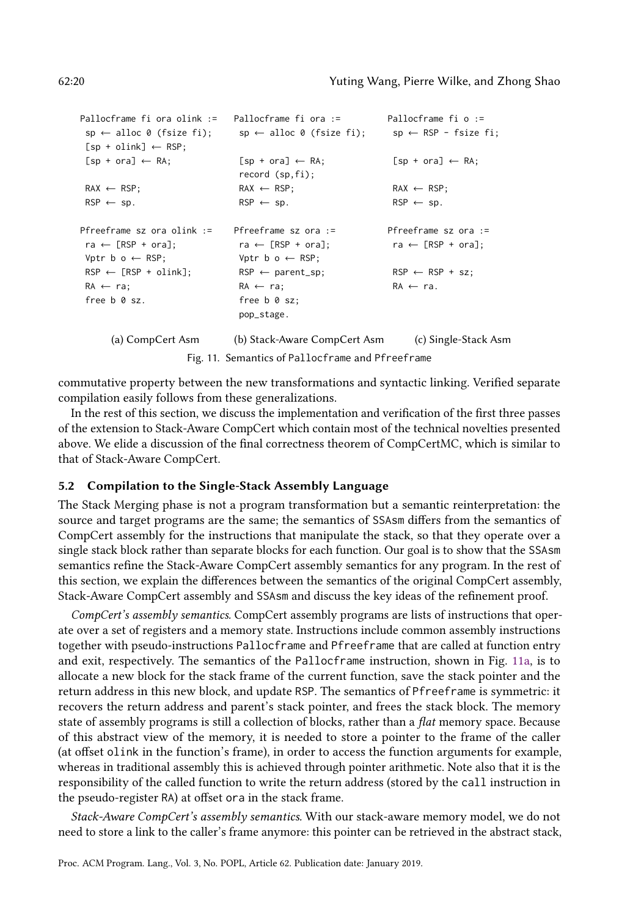```
Pallocframe fi ora olink :=
Pallocframe fi ora :=
sp \leftarrow alloc 0 (fsize fi);
[sp + olink] \leftarrow RSP;[sp + ora] \leftarrow RA;
RAX \leftarrow RSP;RSP \leftarrow SD.
Pfreeframe sz ora olink :=
Pfreeframe sz ora :=
ra \leftarrow [RSP + ora];Vptr b \circ \leftarrow RSP;
RSP \leftarrow [RSP + olink];RA ← ra;
free b 0 sz.
      (a) CompCert Asm
                                  sp \leftarrow alloc 0 (fsize fi);
                                   [sp + ora] \leftarrow RA;
                                   record (sp,fi);
                                   RAX \leftarrow RSP;RSP \leftarrow sp.
                                    ra \leftarrow [RSP + ora];
                                   Vptr b \circ \leftarrow RSP;RSP ← parent_sp;
                                    RA ← ra;
                                    free b 0 sz;
                                    pop_stage.
                                   (b) Stack-Aware CompCert Asm
                                                                       Pallocframe fi o :=
                                                                       sp \leftarrow RSP - fsize fij;[sp + ora] \leftarrow RA;
                                                                        RAX \leftarrow RSP;RSP \leftarrow SD.
                                                                      Pfreeframe sz ora :=
                                                                       ra \leftarrow [RSP + ora];RSP \leftarrow RSP + SZ;RA ← ra.
                                                                              (c) Single-Stack Asm
                        Fig. 11. Semantics of Pallocframe and Pfreeframe
```
commutative property between the new transformations and syntactic linking. Verified separate compilation easily follows from these generalizations.

In the rest of this section, we discuss the implementation and verification of the first three passes of the extension to Stack-Aware CompCert which contain most of the technical novelties presented above. We elide a discussion of the final correctness theorem of CompCertMC, which is similar to that of Stack-Aware CompCert.

## 5.2 Compilation to the Single-Stack Assembly Language

The Stack Merging phase is not a program transformation but a semantic reinterpretation: the source and target programs are the same; the semantics of SSAsm differs from the semantics of CompCert assembly for the instructions that manipulate the stack, so that they operate over a single stack block rather than separate blocks for each function. Our goal is to show that the SSAsm semantics refine the Stack-Aware CompCert assembly semantics for any program. In the rest of this section, we explain the differences between the semantics of the original CompCert assembly, Stack-Aware CompCert assembly and SSAsm and discuss the key ideas of the refinement proof.

CompCert's assembly semantics. CompCert assembly programs are lists of instructions that operate over a set of registers and a memory state. Instructions include common assembly instructions together with pseudo-instructions Pallocframe and Pfreeframe that are called at function entry and exit, respectively. The semantics of the Pallocframe instruction, shown in Fig. [11a,](#page-19-0) is to allocate a new block for the stack frame of the current function, save the stack pointer and the return address in this new block, and update RSP. The semantics of Pfreeframe is symmetric: it recovers the return address and parent's stack pointer, and frees the stack block. The memory state of assembly programs is still a collection of blocks, rather than a flat memory space. Because of this abstract view of the memory, it is needed to store a pointer to the frame of the caller (at offset olink in the function's frame), in order to access the function arguments for example, whereas in traditional assembly this is achieved through pointer arithmetic. Note also that it is the responsibility of the called function to write the return address (stored by the call instruction in the pseudo-register RA) at offset ora in the stack frame.

Stack-Aware CompCert's assembly semantics. With our stack-aware memory model, we do not need to store a link to the caller's frame anymore: this pointer can be retrieved in the abstract stack,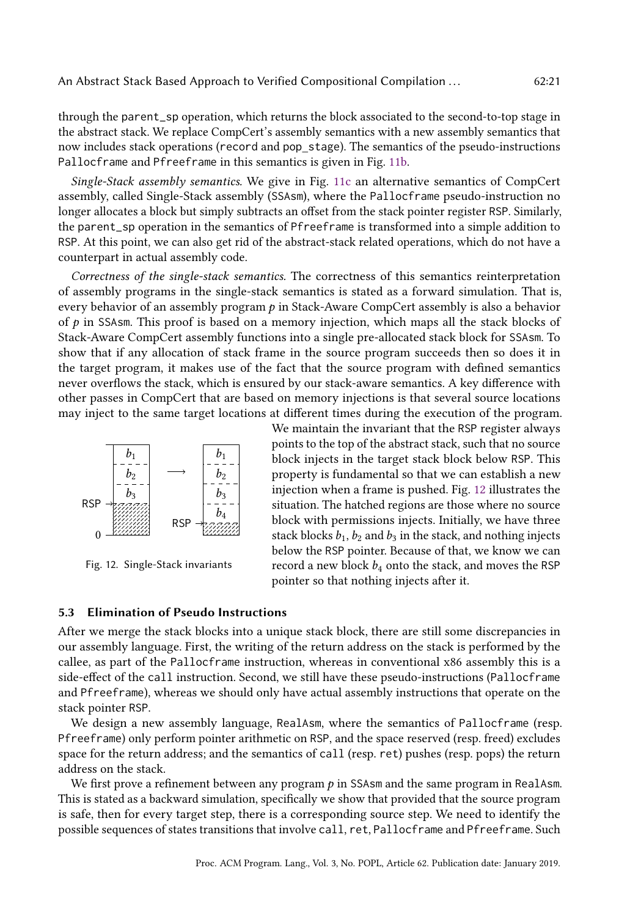through the parent\_sp operation, which returns the block associated to the second-to-top stage in the abstract stack. We replace CompCert's assembly semantics with a new assembly semantics that now includes stack operations (record and pop\_stage). The semantics of the pseudo-instructions Pallocframe and Pfreeframe in this semantics is given in Fig. [11b.](#page-19-0)

Single-Stack assembly semantics. We give in Fig. [11c](#page-19-0) an alternative semantics of CompCert assembly, called Single-Stack assembly (SSAsm), where the Pallocframe pseudo-instruction no longer allocates a block but simply subtracts an offset from the stack pointer register RSP. Similarly, the parent\_sp operation in the semantics of Pfreeframe is transformed into a simple addition to RSP. At this point, we can also get rid of the abstract-stack related operations, which do not have a counterpart in actual assembly code.

Correctness of the single-stack semantics. The correctness of this semantics reinterpretation of assembly programs in the single-stack semantics is stated as a forward simulation. That is, every behavior of an assembly program  $p$  in Stack-Aware CompCert assembly is also a behavior of  $p$  in SSAsm. This proof is based on a memory injection, which maps all the stack blocks of Stack-Aware CompCert assembly functions into a single pre-allocated stack block for SSAsm. To show that if any allocation of stack frame in the source program succeeds then so does it in the target program, it makes use of the fact that the source program with defined semantics never overflows the stack, which is ensured by our stack-aware semantics. A key difference with other passes in CompCert that are based on memory injections is that several source locations may inject to the same target locations at different times during the execution of the program.

<span id="page-20-0"></span>

Fig. 12. Single-Stack invariants

We maintain the invariant that the RSP register always points to the top of the abstract stack, such that no source block injects in the target stack block below RSP. This property is fundamental so that we can establish a new injection when a frame is pushed. Fig. [12](#page-20-0) illustrates the situation. The hatched regions are those where no source block with permissions injects. Initially, we have three stack blocks  $b_1$ ,  $b_2$  and  $b_3$  in the stack, and nothing injects below the RSP pointer. Because of that, we know we can record a new block  $b_4$  onto the stack, and moves the RSP pointer so that nothing injects after it.

# 5.3 Elimination of Pseudo Instructions

After we merge the stack blocks into a unique stack block, there are still some discrepancies in our assembly language. First, the writing of the return address on the stack is performed by the callee, as part of the Pallocframe instruction, whereas in conventional x86 assembly this is a side-effect of the call instruction. Second, we still have these pseudo-instructions (Pallocframe and Pfreeframe), whereas we should only have actual assembly instructions that operate on the stack pointer RSP.

We design a new assembly language, RealAsm, where the semantics of Pallocframe (resp. Pfreeframe) only perform pointer arithmetic on RSP, and the space reserved (resp. freed) excludes space for the return address; and the semantics of call (resp. ret) pushes (resp. pops) the return address on the stack.

We first prove a refinement between any program  $p$  in SSAsm and the same program in RealAsm. This is stated as a backward simulation, specifically we show that provided that the source program is safe, then for every target step, there is a corresponding source step. We need to identify the possible sequences of states transitions that involve call, ret, Pallocframe and Pfreeframe. Such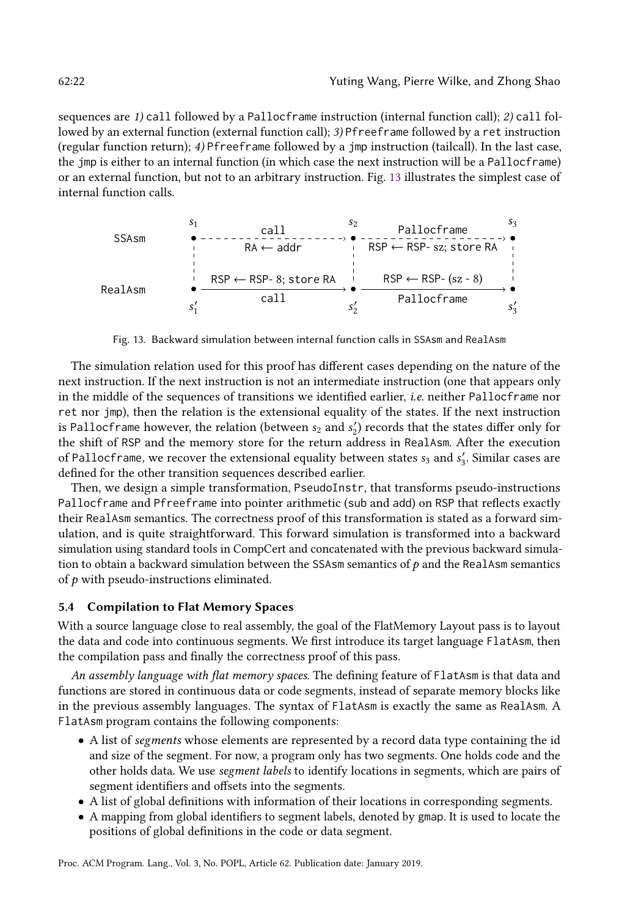sequences are 1) call followed by a Pallocframe instruction (internal function call); 2) call followed by an external function (external function call); 3) Pfreeframe followed by a ret instruction (regular function return); 4) Pfreeframe followed by a jmp instruction (tailcall). In the last case, the jmp is either to an internal function (in which case the next instruction will be a Pallocframe) or an external function, but not to an arbitrary instruction. Fig. [13](#page-21-0) illustrates the simplest case of internal function calls.

<span id="page-21-0"></span>

Fig. 13. Backward simulation between internal function calls in SSAsm and RealAsm

The simulation relation used for this proof has different cases depending on the nature of the next instruction. If the next instruction is not an intermediate instruction (one that appears only in the middle of the sequences of transitions we identified earlier, i.e. neither Pallocframe nor ret nor jmp), then the relation is the extensional equality of the states. If the next instruction is Pallocframe however, the relation (between  $s_2$  and  $s_2'$ ) records that the states differ only for the shift of RSP and the memory store for the return address in RealAsm. After the execution of Pallocframe, we recover the extensional equality between states  $s_3$  and  $s'_3$ . Similar cases are defined for the other transition sequences described earlier.

Then, we design a simple transformation, PseudoInstr, that transforms pseudo-instructions Pallocframe and Pfreeframe into pointer arithmetic (sub and add) on RSP that reflects exactly their RealAsm semantics. The correctness proof of this transformation is stated as a forward simulation, and is quite straightforward. This forward simulation is transformed into a backward simulation using standard tools in CompCert and concatenated with the previous backward simulation to obtain a backward simulation between the SSAsm semantics of  $p$  and the RealAsm semantics of p with pseudo-instructions eliminated.

#### 5.4 Compilation to Flat Memory Spaces

With a source language close to real assembly, the goal of the FlatMemory Layout pass is to layout the data and code into continuous segments. We first introduce its target language FlatAsm, then the compilation pass and finally the correctness proof of this pass.

An assembly language with flat memory spaces. The defining feature of FlatAsm is that data and functions are stored in continuous data or code segments, instead of separate memory blocks like in the previous assembly languages. The syntax of FlatAsm is exactly the same as RealAsm. A FlatAsm program contains the following components:

- A list of segments whose elements are represented by a record data type containing the id and size of the segment. For now, a program only has two segments. One holds code and the other holds data. We use segment labels to identify locations in segments, which are pairs of segment identifiers and offsets into the segments.
- A list of global definitions with information of their locations in corresponding segments.
- A mapping from global identifiers to segment labels, denoted by gmap. It is used to locate the positions of global definitions in the code or data segment.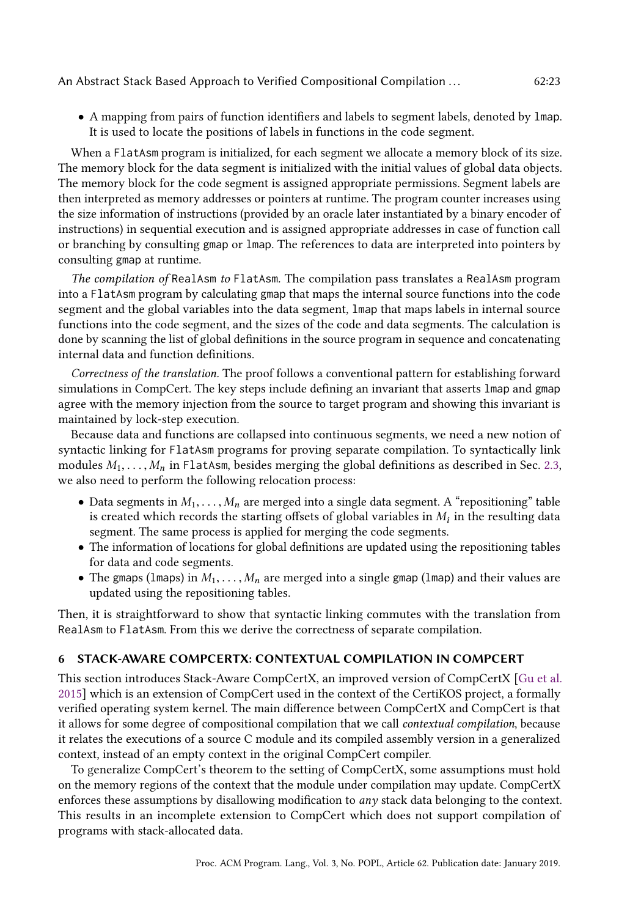An Abstract Stack Based Approach to Verified Compositional Compilation . . . . . . . . . . . . . . . 62:23

• A mapping from pairs of function identifiers and labels to segment labels, denoted by lmap. It is used to locate the positions of labels in functions in the code segment.

When a FlatAsm program is initialized, for each segment we allocate a memory block of its size. The memory block for the data segment is initialized with the initial values of global data objects. The memory block for the code segment is assigned appropriate permissions. Segment labels are then interpreted as memory addresses or pointers at runtime. The program counter increases using the size information of instructions (provided by an oracle later instantiated by a binary encoder of instructions) in sequential execution and is assigned appropriate addresses in case of function call or branching by consulting gmap or lmap. The references to data are interpreted into pointers by consulting gmap at runtime.

The compilation of RealAsm to FlatAsm. The compilation pass translates a RealAsm program into a FlatAsm program by calculating gmap that maps the internal source functions into the code segment and the global variables into the data segment, lmap that maps labels in internal source functions into the code segment, and the sizes of the code and data segments. The calculation is done by scanning the list of global definitions in the source program in sequence and concatenating internal data and function definitions.

Correctness of the translation. The proof follows a conventional pattern for establishing forward simulations in CompCert. The key steps include defining an invariant that asserts lmap and gmap agree with the memory injection from the source to target program and showing this invariant is maintained by lock-step execution.

Because data and functions are collapsed into continuous segments, we need a new notion of syntactic linking for FlatAsm programs for proving separate compilation. To syntactically link modules  $M_1, \ldots, M_n$  in FlatAsm, besides merging the global definitions as described in Sec. [2.3,](#page-6-1) we also need to perform the following relocation process:

- Data segments in  $M_1, \ldots, M_n$  are merged into a single data segment. A "repositioning" table is created which records the starting offsets of global variables in  $M_i$  in the resulting data segment. The same process is applied for merging the code segments.
- The information of locations for global definitions are updated using the repositioning tables for data and code segments.
- The gmaps (1maps) in  $M_1, \ldots, M_n$  are merged into a single gmap (1map) and their values are updated using the repositioning tables.

Then, it is straightforward to show that syntactic linking commutes with the translation from RealAsm to FlatAsm. From this we derive the correctness of separate compilation.

# <span id="page-22-0"></span>6 STACK-AWARE COMPCERTX: CONTEXTUAL COMPILATION IN COMPCERT

This section introduces Stack-Aware CompCertX, an improved version of CompCertX [\[Gu et al.](#page-28-0) [2015\]](#page-28-0) which is an extension of CompCert used in the context of the CertiKOS project, a formally verified operating system kernel. The main difference between CompCertX and CompCert is that it allows for some degree of compositional compilation that we call *contextual compilation*, because it relates the executions of a source C module and its compiled assembly version in a generalized context, instead of an empty context in the original CompCert compiler.

To generalize CompCert's theorem to the setting of CompCertX, some assumptions must hold on the memory regions of the context that the module under compilation may update. CompCertX enforces these assumptions by disallowing modification to *any* stack data belonging to the context. This results in an incomplete extension to CompCert which does not support compilation of programs with stack-allocated data.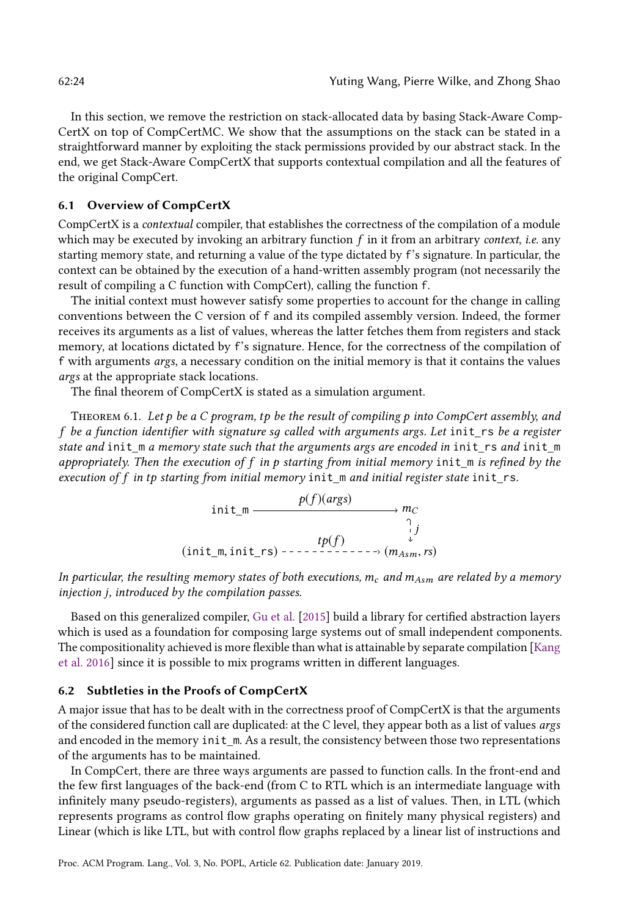In this section, we remove the restriction on stack-allocated data by basing Stack-Aware Comp-CertX on top of CompCertMC. We show that the assumptions on the stack can be stated in a straightforward manner by exploiting the stack permissions provided by our abstract stack. In the end, we get Stack-Aware CompCertX that supports contextual compilation and all the features of the original CompCert.

# 6.1 Overview of CompCertX

CompCertX is a contextual compiler, that establishes the correctness of the compilation of a module which may be executed by invoking an arbitrary function  $f$  in it from an arbitrary *context, i.e.* any starting memory state, and returning a value of the type dictated by f's signature. In particular, the context can be obtained by the execution of a hand-written assembly program (not necessarily the result of compiling a C function with CompCert), calling the function f.

The initial context must however satisfy some properties to account for the change in calling conventions between the C version of f and its compiled assembly version. Indeed, the former receives its arguments as a list of values, whereas the latter fetches them from registers and stack memory, at locations dictated by f's signature. Hence, for the correctness of the compilation of f with arguments args, a necessary condition on the initial memory is that it contains the values args at the appropriate stack locations.

The final theorem of CompCertX is stated as a simulation argument.

THEOREM 6.1. Let  $p$  be a C program, tp be the result of compiling  $p$  into CompCert assembly, and f be a function identifier with signature sq called with arguments args. Let init\_rs be a register state and init\_m a memory state such that the arguments args are encoded in init\_rs and init\_m appropriately. Then the execution of  $f$  in  $p$  starting from initial memory init\_m is refined by the execution of f in tp starting from initial memory init\_m and initial register state init\_rs.

$$
\begin{array}{ccc}\n\text{init\_m} & \xrightarrow{p(f)(args)} & m_C \\
\downarrow & & \uparrow \\
\text{(init\_m, init\_rs)} & \xrightarrow{tp(f)} & \downarrow \\
\text{(init\_m, init\_rs)} & \xrightarrow{p(f)} & \xrightarrow{m \text{max}} & rs\n\end{array}
$$

In particular, the resulting memory states of both executions,  $m_c$  and  $m_{Asm}$  are related by a memory injection j, introduced by the compilation passes.

Based on this generalized compiler, [Gu et al.](#page-28-0) [\[2015\]](#page-28-0) build a library for certified abstraction layers which is used as a foundation for composing large systems out of small independent components. The compositionality achieved is more flexible than what is attainable by separate compilation [\[Kang](#page-28-2) [et al. 2016\]](#page-28-2) since it is possible to mix programs written in different languages.

#### <span id="page-23-0"></span>6.2 Subtleties in the Proofs of CompCertX

A major issue that has to be dealt with in the correctness proof of CompCertX is that the arguments of the considered function call are duplicated: at the C level, they appear both as a list of values args and encoded in the memory init  $m$ . As a result, the consistency between those two representations of the arguments has to be maintained.

In CompCert, there are three ways arguments are passed to function calls. In the front-end and the few first languages of the back-end (from C to RTL which is an intermediate language with infinitely many pseudo-registers), arguments as passed as a list of values. Then, in LTL (which represents programs as control flow graphs operating on finitely many physical registers) and Linear (which is like LTL, but with control flow graphs replaced by a linear list of instructions and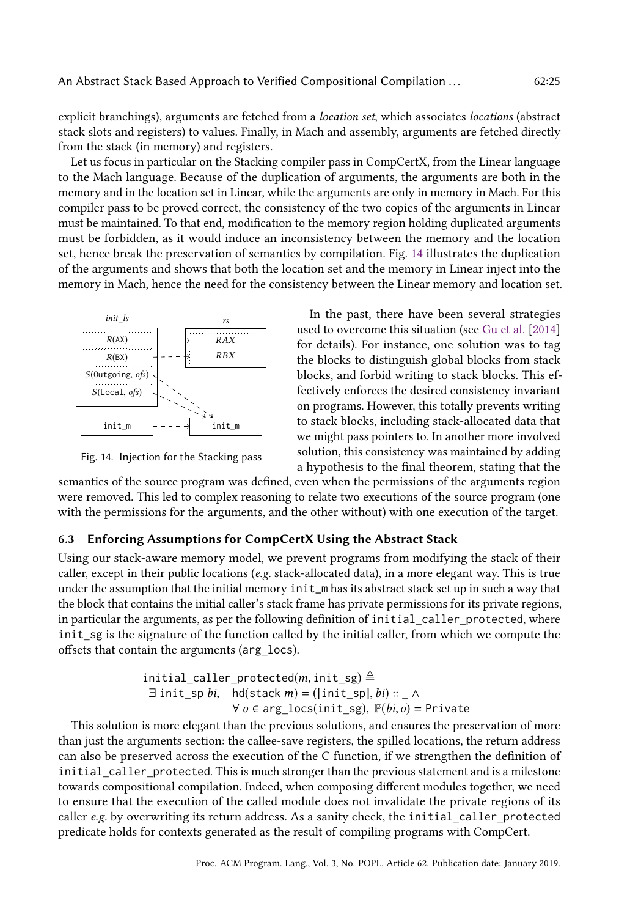explicit branchings), arguments are fetched from a location set, which associates locations (abstract stack slots and registers) to values. Finally, in Mach and assembly, arguments are fetched directly from the stack (in memory) and registers.

Let us focus in particular on the Stacking compiler pass in CompCertX, from the Linear language to the Mach language. Because of the duplication of arguments, the arguments are both in the memory and in the location set in Linear, while the arguments are only in memory in Mach. For this compiler pass to be proved correct, the consistency of the two copies of the arguments in Linear must be maintained. To that end, modification to the memory region holding duplicated arguments must be forbidden, as it would induce an inconsistency between the memory and the location set, hence break the preservation of semantics by compilation. Fig. [14](#page-24-0) illustrates the duplication of the arguments and shows that both the location set and the memory in Linear inject into the memory in Mach, hence the need for the consistency between the Linear memory and location set.

<span id="page-24-0"></span>

Fig. 14. Injection for the Stacking pass

In the past, there have been several strategies used to overcome this situation (see [Gu et al.](#page-28-8) [\[2014\]](#page-28-8) for details). For instance, one solution was to tag the blocks to distinguish global blocks from stack blocks, and forbid writing to stack blocks. This effectively enforces the desired consistency invariant on programs. However, this totally prevents writing to stack blocks, including stack-allocated data that we might pass pointers to. In another more involved solution, this consistency was maintained by adding a hypothesis to the final theorem, stating that the

semantics of the source program was defined, even when the permissions of the arguments region were removed. This led to complex reasoning to relate two executions of the source program (one with the permissions for the arguments, and the other without) with one execution of the target.

## 6.3 Enforcing Assumptions for CompCertX Using the Abstract Stack

Using our stack-aware memory model, we prevent programs from modifying the stack of their caller, except in their public locations (e.g. stack-allocated data), in a more elegant way. This is true under the assumption that the initial memory init\_m has its abstract stack set up in such a way that the block that contains the initial caller's stack frame has private permissions for its private regions, in particular the arguments, as per the following definition of initial caller protected, where init\_sg is the signature of the function called by the initial caller, from which we compute the offsets that contain the arguments (arg\_locs).

initial\_caller\_protected(m, init\_sg) 
$$
\triangleq
$$

\nHint\_sp *bi*,  $hd(\text{stack } m) = ([init_s p], bi) :: \_ \land$ 

\n $\forall o \in \arg\text{loc}(\text{init_s g}), \mathbb{P}(bi, o) = \text{Private}$ 

This solution is more elegant than the previous solutions, and ensures the preservation of more than just the arguments section: the callee-save registers, the spilled locations, the return address can also be preserved across the execution of the C function, if we strengthen the definition of initial caller protected. This is much stronger than the previous statement and is a milestone towards compositional compilation. Indeed, when composing different modules together, we need to ensure that the execution of the called module does not invalidate the private regions of its caller e.g. by overwriting its return address. As a sanity check, the initial caller protected predicate holds for contexts generated as the result of compiling programs with CompCert.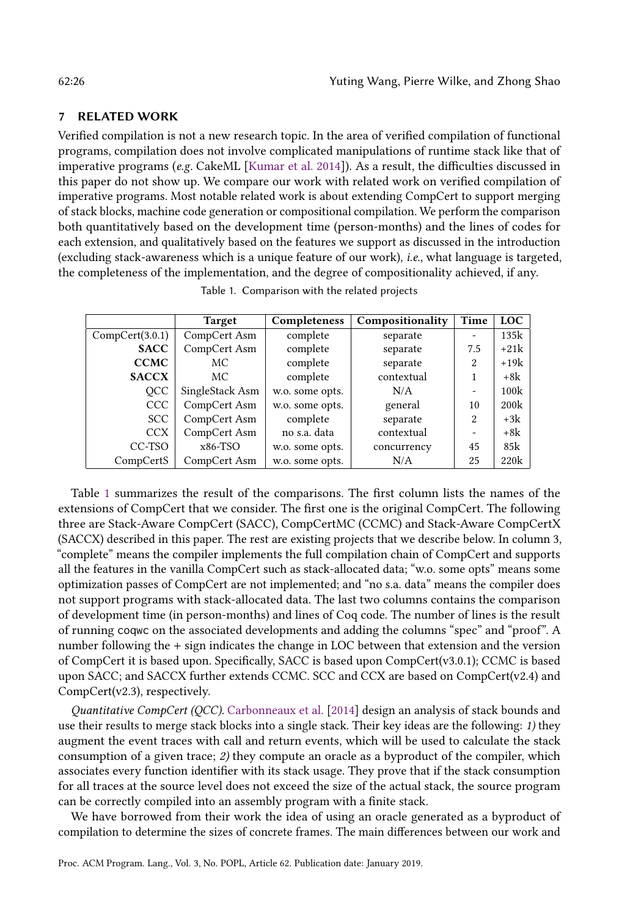# <span id="page-25-0"></span>7 RELATED WORK

Verified compilation is not a new research topic. In the area of verified compilation of functional programs, compilation does not involve complicated manipulations of runtime stack like that of imperative programs (e.g. CakeML [\[Kumar et al.](#page-28-9) [2014\]](#page-28-9)). As a result, the difficulties discussed in this paper do not show up. We compare our work with related work on verified compilation of imperative programs. Most notable related work is about extending CompCert to support merging of stack blocks, machine code generation or compositional compilation. We perform the comparison both quantitatively based on the development time (person-months) and the lines of codes for each extension, and qualitatively based on the features we support as discussed in the introduction (excluding stack-awareness which is a unique feature of our work), i.e., what language is targeted, the completeness of the implementation, and the degree of compositionality achieved, if any.

<span id="page-25-1"></span>

|                 | <b>Target</b>   | Completeness    | Compositionality | Time | <b>LOC</b> |
|-----------------|-----------------|-----------------|------------------|------|------------|
| CompCert(3.0.1) | CompCert Asm    | complete        | separate         |      | 135k       |
| <b>SACC</b>     | CompCert Asm    | complete        | separate         | 7.5  | $+21k$     |
| <b>CCMC</b>     | МC              | complete        | separate         | 2    | $+19k$     |
| <b>SACCX</b>    | МC              | complete        | contextual       | 1    | $+8k$      |
| OCC             | SingleStack Asm | w.o. some opts. | N/A              |      | 100k       |
| CCC             | CompCert Asm    | w.o. some opts. | general          | 10   | 200k       |
| <b>SCC</b>      | CompCert Asm    | complete        | separate         | 2    | $+3k$      |
| <b>CCX</b>      | CompCert Asm    | no s.a. data    | contextual       |      | $+8k$      |
| CC-TSO          | $x86-TSO$       | w.o. some opts. | concurrency      | 45   | 85k        |
| CompCertS       | CompCert Asm    | w.o. some opts. | N/A              | 25   | 220k       |

Table 1. Comparison with the related projects

Table [1](#page-25-1) summarizes the result of the comparisons. The first column lists the names of the extensions of CompCert that we consider. The first one is the original CompCert. The following three are Stack-Aware CompCert (SACC), CompCertMC (CCMC) and Stack-Aware CompCertX (SACCX) described in this paper. The rest are existing projects that we describe below. In column 3, łcompletež means the compiler implements the full compilation chain of CompCert and supports all the features in the vanilla CompCert such as stack-allocated data; "w.o. some opts" means some optimization passes of CompCert are not implemented; and "no s.a. data" means the compiler does not support programs with stack-allocated data. The last two columns contains the comparison of development time (in person-months) and lines of Coq code. The number of lines is the result of running coqwc on the associated developments and adding the columns "spec" and "proof". A number following the + sign indicates the change in LOC between that extension and the version of CompCert it is based upon. Specifically, SACC is based upon CompCert(v3.0.1); CCMC is based upon SACC; and SACCX further extends CCMC. SCC and CCX are based on CompCert(v2.4) and CompCert(v2.3), respectively.

Quantitative CompCert (QCC). [Carbonneaux et al.](#page-28-5) [\[2014\]](#page-28-5) design an analysis of stack bounds and use their results to merge stack blocks into a single stack. Their key ideas are the following: 1) they augment the event traces with call and return events, which will be used to calculate the stack consumption of a given trace; 2) they compute an oracle as a byproduct of the compiler, which associates every function identifier with its stack usage. They prove that if the stack consumption for all traces at the source level does not exceed the size of the actual stack, the source program can be correctly compiled into an assembly program with a finite stack.

We have borrowed from their work the idea of using an oracle generated as a byproduct of compilation to determine the sizes of concrete frames. The main differences between our work and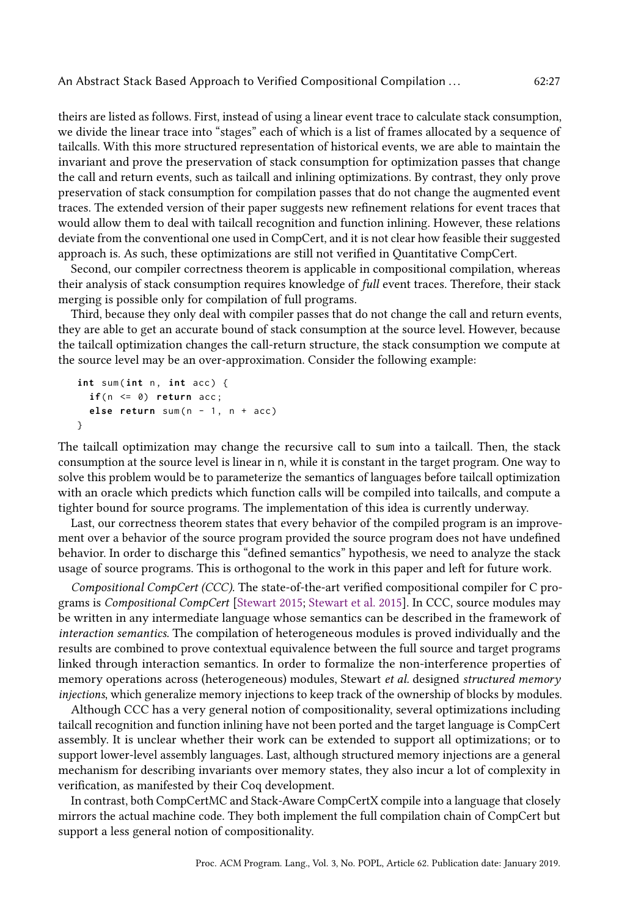An Abstract Stack Based Approach to Verified Compositional Compilation . . . . . . . . . . . . . . . 62:27

theirs are listed as follows. First, instead of using a linear event trace to calculate stack consumption, we divide the linear trace into "stages" each of which is a list of frames allocated by a sequence of tailcalls. With this more structured representation of historical events, we are able to maintain the invariant and prove the preservation of stack consumption for optimization passes that change the call and return events, such as tailcall and inlining optimizations. By contrast, they only prove preservation of stack consumption for compilation passes that do not change the augmented event traces. The extended version of their paper suggests new refinement relations for event traces that would allow them to deal with tailcall recognition and function inlining. However, these relations deviate from the conventional one used in CompCert, and it is not clear how feasible their suggested approach is. As such, these optimizations are still not verified in Quantitative CompCert.

Second, our compiler correctness theorem is applicable in compositional compilation, whereas their analysis of stack consumption requires knowledge of full event traces. Therefore, their stack merging is possible only for compilation of full programs.

Third, because they only deal with compiler passes that do not change the call and return events, they are able to get an accurate bound of stack consumption at the source level. However, because the tailcall optimization changes the call-return structure, the stack consumption we compute at the source level may be an over-approximation. Consider the following example:

```
int sum(int n, int acc)if(n <= 0) return acc ;
  else return sum(n - 1, n + acc)
}
```
The tailcall optimization may change the recursive call to sum into a tailcall. Then, the stack consumption at the source level is linear in n, while it is constant in the target program. One way to solve this problem would be to parameterize the semantics of languages before tailcall optimization with an oracle which predicts which function calls will be compiled into tailcalls, and compute a tighter bound for source programs. The implementation of this idea is currently underway.

Last, our correctness theorem states that every behavior of the compiled program is an improvement over a behavior of the source program provided the source program does not have undefined behavior. In order to discharge this "defined semantics" hypothesis, we need to analyze the stack usage of source programs. This is orthogonal to the work in this paper and left for future work.

Compositional CompCert (CCC). The state-of-the-art verified compositional compiler for C programs is Compositional CompCert [\[Stewart 2015;](#page-29-4) [Stewart et al.](#page-29-5) [2015\]](#page-29-5). In CCC, source modules may be written in any intermediate language whose semantics can be described in the framework of interaction semantics. The compilation of heterogeneous modules is proved individually and the results are combined to prove contextual equivalence between the full source and target programs linked through interaction semantics. In order to formalize the non-interference properties of memory operations across (heterogeneous) modules, Stewart et al. designed structured memory injections, which generalize memory injections to keep track of the ownership of blocks by modules.

Although CCC has a very general notion of compositionality, several optimizations including tailcall recognition and function inlining have not been ported and the target language is CompCert assembly. It is unclear whether their work can be extended to support all optimizations; or to support lower-level assembly languages. Last, although structured memory injections are a general mechanism for describing invariants over memory states, they also incur a lot of complexity in verification, as manifested by their Coq development.

In contrast, both CompCertMC and Stack-Aware CompCertX compile into a language that closely mirrors the actual machine code. They both implement the full compilation chain of CompCert but support a less general notion of compositionality.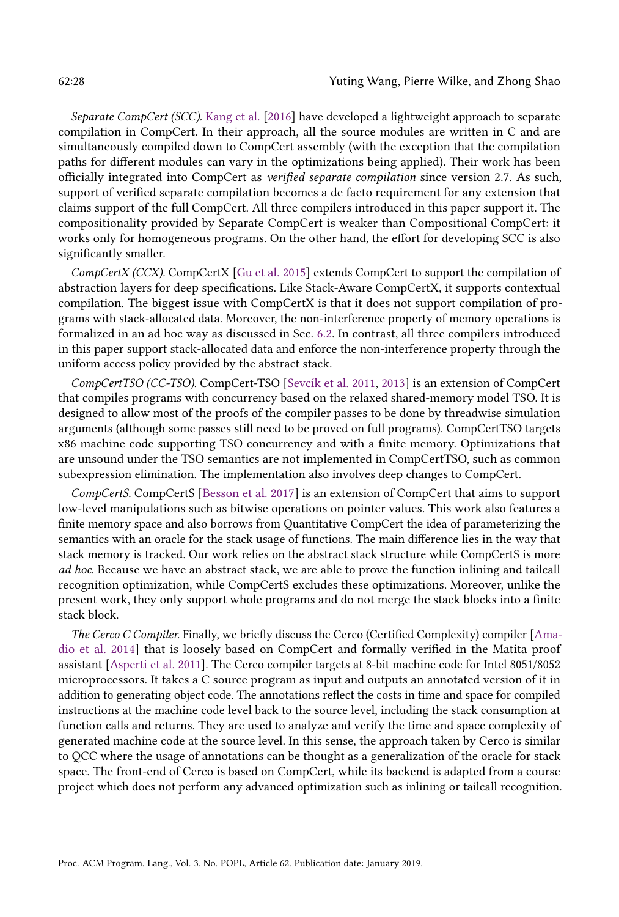Separate CompCert (SCC). [Kang et al.](#page-28-2) [\[2016\]](#page-28-2) have developed a lightweight approach to separate compilation in CompCert. In their approach, all the source modules are written in C and are simultaneously compiled down to CompCert assembly (with the exception that the compilation paths for different modules can vary in the optimizations being applied). Their work has been officially integrated into CompCert as verified separate compilation since version 2.7. As such, support of verified separate compilation becomes a de facto requirement for any extension that claims support of the full CompCert. All three compilers introduced in this paper support it. The compositionality provided by Separate CompCert is weaker than Compositional CompCert: it works only for homogeneous programs. On the other hand, the effort for developing SCC is also significantly smaller.

CompCertX (CCX). CompCertX [\[Gu et al.](#page-28-0) [2015\]](#page-28-0) extends CompCert to support the compilation of abstraction layers for deep specifications. Like Stack-Aware CompCertX, it supports contextual compilation. The biggest issue with CompCertX is that it does not support compilation of programs with stack-allocated data. Moreover, the non-interference property of memory operations is formalized in an ad hoc way as discussed in Sec. [6.2.](#page-23-0) In contrast, all three compilers introduced in this paper support stack-allocated data and enforce the non-interference property through the uniform access policy provided by the abstract stack.

CompCertTSO (CC-TSO). CompCert-TSO [\[Sevcík et al.](#page-29-10) [2011,](#page-29-10) [2013\]](#page-29-11) is an extension of CompCert that compiles programs with concurrency based on the relaxed shared-memory model TSO. It is designed to allow most of the proofs of the compiler passes to be done by threadwise simulation arguments (although some passes still need to be proved on full programs). CompCertTSO targets x86 machine code supporting TSO concurrency and with a finite memory. Optimizations that are unsound under the TSO semantics are not implemented in CompCertTSO, such as common subexpression elimination. The implementation also involves deep changes to CompCert.

CompCertS. CompCertS [\[Besson et al.](#page-28-10) [2017\]](#page-28-10) is an extension of CompCert that aims to support low-level manipulations such as bitwise operations on pointer values. This work also features a finite memory space and also borrows from Quantitative CompCert the idea of parameterizing the semantics with an oracle for the stack usage of functions. The main difference lies in the way that stack memory is tracked. Our work relies on the abstract stack structure while CompCertS is more ad hoc. Because we have an abstract stack, we are able to prove the function inlining and tailcall recognition optimization, while CompCertS excludes these optimizations. Moreover, unlike the present work, they only support whole programs and do not merge the stack blocks into a finite stack block.

The Cerco C Compiler. Finally, we briefly discuss the Cerco (Certified Complexity) compiler [\[Ama](#page-28-11)[dio et al.](#page-28-11) [2014\]](#page-28-11) that is loosely based on CompCert and formally verified in the Matita proof assistant [\[Asperti et al.](#page-28-12) [2011\]](#page-28-12). The Cerco compiler targets at 8-bit machine code for Intel 8051/8052 microprocessors. It takes a C source program as input and outputs an annotated version of it in addition to generating object code. The annotations reflect the costs in time and space for compiled instructions at the machine code level back to the source level, including the stack consumption at function calls and returns. They are used to analyze and verify the time and space complexity of generated machine code at the source level. In this sense, the approach taken by Cerco is similar to QCC where the usage of annotations can be thought as a generalization of the oracle for stack space. The front-end of Cerco is based on CompCert, while its backend is adapted from a course project which does not perform any advanced optimization such as inlining or tailcall recognition.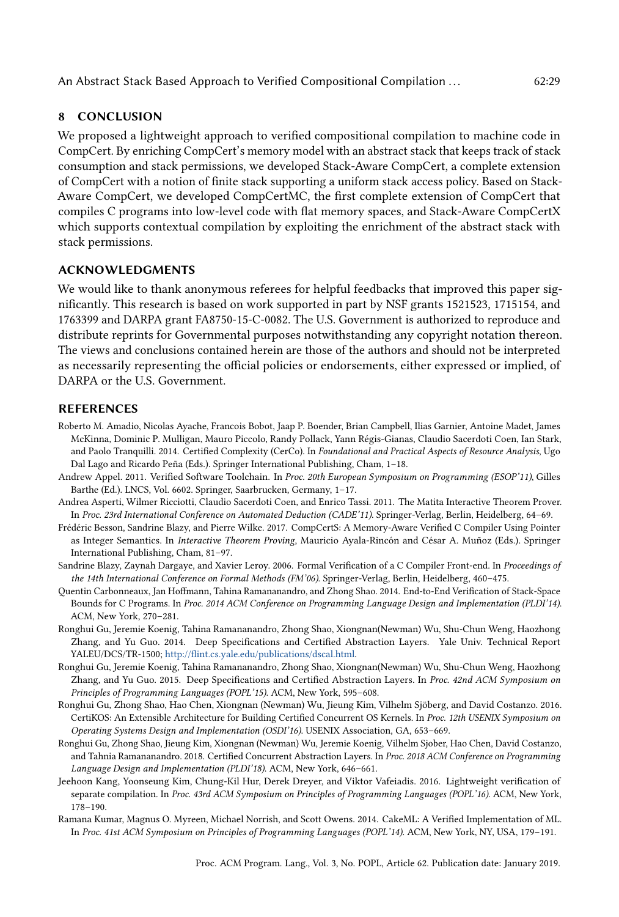An Abstract Stack Based Approach to Verified Compositional Compilation . . . . . . . . . . . . . . . 62:29

# <span id="page-28-6"></span>8 CONCLUSION

We proposed a lightweight approach to verified compositional compilation to machine code in CompCert. By enriching CompCert's memory model with an abstract stack that keeps track of stack consumption and stack permissions, we developed Stack-Aware CompCert, a complete extension of CompCert with a notion of finite stack supporting a uniform stack access policy. Based on Stack-Aware CompCert, we developed CompCertMC, the first complete extension of CompCert that compiles C programs into low-level code with flat memory spaces, and Stack-Aware CompCertX which supports contextual compilation by exploiting the enrichment of the abstract stack with stack permissions.

# ACKNOWLEDGMENTS

We would like to thank anonymous referees for helpful feedbacks that improved this paper significantly. This research is based on work supported in part by NSF grants 1521523, 1715154, and 1763399 and DARPA grant FA8750-15-C-0082. The U.S. Government is authorized to reproduce and distribute reprints for Governmental purposes notwithstanding any copyright notation thereon. The views and conclusions contained herein are those of the authors and should not be interpreted as necessarily representing the official policies or endorsements, either expressed or implied, of DARPA or the U.S. Government.

# REFERENCES

- <span id="page-28-11"></span>Roberto M. Amadio, Nicolas Ayache, Francois Bobot, Jaap P. Boender, Brian Campbell, Ilias Garnier, Antoine Madet, James McKinna, Dominic P. Mulligan, Mauro Piccolo, Randy Pollack, Yann Régis-Gianas, Claudio Sacerdoti Coen, Ian Stark, and Paolo Tranquilli. 2014. Certified Complexity (CerCo). In Foundational and Practical Aspects of Resource Analysis, Ugo Dal Lago and Ricardo Peña (Eds.). Springer International Publishing, Cham, 1-18.
- <span id="page-28-3"></span>Andrew Appel. 2011. Verified Software Toolchain. In Proc. 20th European Symposium on Programming (ESOP'11), Gilles Barthe (Ed.). LNCS, Vol. 6602. Springer, Saarbrucken, Germany, 1-17.
- <span id="page-28-12"></span>Andrea Asperti, Wilmer Ricciotti, Claudio Sacerdoti Coen, and Enrico Tassi. 2011. The Matita Interactive Theorem Prover. In Proc. 23rd International Conference on Automated Deduction (CADE'11). Springer-Verlag, Berlin, Heidelberg, 64-69.
- <span id="page-28-10"></span>Frédéric Besson, Sandrine Blazy, and Pierre Wilke. 2017. CompCertS: A Memory-Aware Verified C Compiler Using Pointer as Integer Semantics. In Interactive Theorem Proving, Mauricio Ayala-Rincón and César A. Muñoz (Eds.). Springer International Publishing, Cham, 81-97.
- <span id="page-28-7"></span>Sandrine Blazy, Zaynah Dargaye, and Xavier Leroy. 2006. Formal Verification of a C Compiler Front-end. In Proceedings of the 14th International Conference on Formal Methods (FM'06). Springer-Verlag, Berlin, Heidelberg, 460-475.
- <span id="page-28-5"></span>Quentin Carbonneaux, Jan Hoffmann, Tahina Ramananandro, and Zhong Shao. 2014. End-to-End Verification of Stack-Space Bounds for C Programs. In Proc. 2014 ACM Conference on Programming Language Design and Implementation (PLDI'14). ACM, New York, 270-281.
- <span id="page-28-8"></span>Ronghui Gu, Jeremie Koenig, Tahina Ramananandro, Zhong Shao, Xiongnan(Newman) Wu, Shu-Chun Weng, Haozhong Zhang, and Yu Guo. 2014. Deep Specifications and Certified Abstraction Layers. Yale Univ. Technical Report YALEU/DCS/TR-1500; [http://flint.cs.yale.edu/publications/dscal.html.](http://flint.cs.yale.edu/publications/dscal.html)
- <span id="page-28-0"></span>Ronghui Gu, Jeremie Koenig, Tahina Ramananandro, Zhong Shao, Xiongnan(Newman) Wu, Shu-Chun Weng, Haozhong Zhang, and Yu Guo. 2015. Deep Specifications and Certified Abstraction Layers. In Proc. 42nd ACM Symposium on Principles of Programming Languages (POPL'15). ACM, New York, 595-608.
- <span id="page-28-1"></span>Ronghui Gu, Zhong Shao, Hao Chen, Xiongnan (Newman) Wu, Jieung Kim, Vilhelm Sjöberg, and David Costanzo. 2016. CertiKOS: An Extensible Architecture for Building Certified Concurrent OS Kernels. In Proc. 12th USENIX Symposium on Operating Systems Design and Implementation (OSDI'16). USENIX Association, GA, 653-669.
- <span id="page-28-4"></span>Ronghui Gu, Zhong Shao, Jieung Kim, Xiongnan (Newman) Wu, Jeremie Koenig, Vilhelm Sjober, Hao Chen, David Costanzo, and Tahnia Ramananandro. 2018. Certified Concurrent Abstraction Layers. In Proc. 2018 ACM Conference on Programming Language Design and Implementation (PLDI'18). ACM, New York, 646-661.
- <span id="page-28-2"></span>Jeehoon Kang, Yoonseung Kim, Chung-Kil Hur, Derek Dreyer, and Viktor Vafeiadis. 2016. Lightweight verification of separate compilation. In Proc. 43rd ACM Symposium on Principles of Programming Languages (POPL'16). ACM, New York,  $178 - 190.$
- <span id="page-28-9"></span>Ramana Kumar, Magnus O. Myreen, Michael Norrish, and Scott Owens. 2014. CakeML: A Verified Implementation of ML. In Proc. 41st ACM Symposium on Principles of Programming Languages (POPL'14). ACM, New York, NY, USA, 179-191.